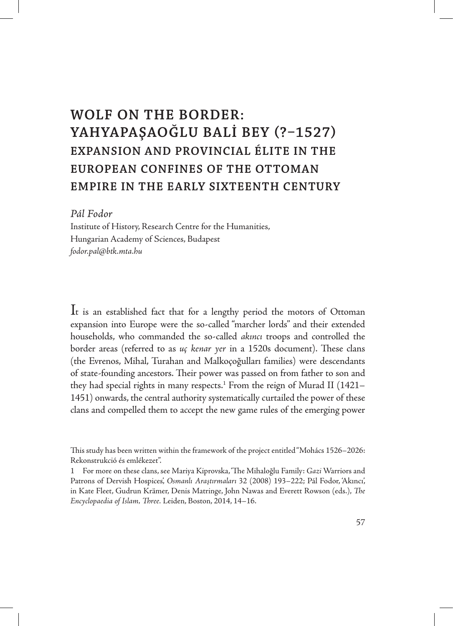# **WOLF ON THE BORDER: YAHYAPAŞAOĞLU BALİ BEY (?–1527) EXPANSION AND PROVINCIAL ÉLITE IN THE EUROPEAN CONFINES OF THE OTTOMAN EMPIRE IN THE EARLY SIXTEENTH CENTURY**

## *Pál Fodor*

Institute of History, Research Centre for the Humanities, Hungarian Academy of Sciences, Budapest *fodor.pal@btk.mta.hu*

It is an established fact that for a lengthy period the motors of Ottoman expansion into Europe were the so-called "marcher lords" and their extended households, who commanded the so-called *akıncı* troops and controlled the border areas (referred to as *uç kenar yer* in a 1520s document). These clans (the Evrenos, Mihal, Turahan and Malkoçoğulları families) were descendants of state-founding ancestors. Their power was passed on from father to son and they had special rights in many respects. $^1$  From the reign of Murad II (1421– 1451) onwards, the central authority systematically curtailed the power of these clans and compelled them to accept the new game rules of the emerging power

This study has been written within the framework of the project entitled "Mohács 1526–2026: Rekonstrukció és emlékezet".

<sup>1</sup> For more on these clans, see Mariya Kiprovska, 'The Mihaloğlu Family: *Gazi* Warriors and Patrons of Dervish Hospices', *Osmanlı Araştırmaları* 32 (2008) 193–222; Pál Fodor, 'Akıncı', in Kate Fleet, Gudrun Krämer, Denis Matringe, John Nawas and Everett Rowson (eds.), *The Encyclopaedia of Islam, Three.* Leiden, Boston, 2014, 14–16.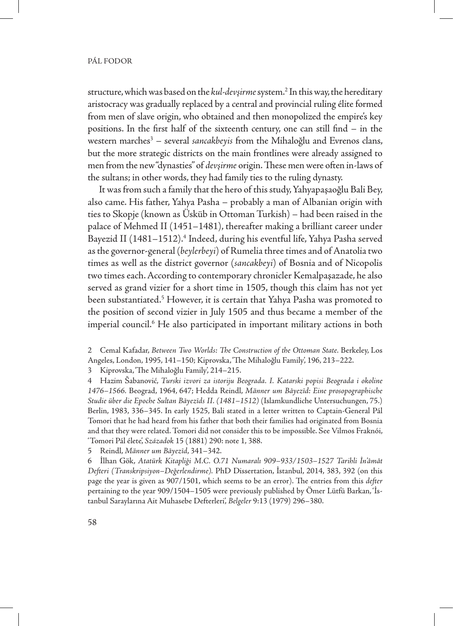structure, which was based on the *kul-devşirme* system.2 In this way, the hereditary aristocracy was gradually replaced by a central and provincial ruling élite formed from men of slave origin, who obtained and then monopolized the empire's key positions. In the first half of the sixteenth century, one can still find – in the western marches3 – several *sancakbeyis* from the Mihaloğlu and Evrenos clans, but the more strategic districts on the main frontlines were already assigned to men from the new "dynasties" of *devşirme* origin. These men were often in-laws of the sultans; in other words, they had family ties to the ruling dynasty.

It was from such a family that the hero of this study, Yahyapaşaoğlu Bali Bey, also came. His father, Yahya Pasha – probably a man of Albanian origin with ties to Skopje (known as Üsküb in Ottoman Turkish) – had been raised in the palace of Mehmed II (1451–1481), thereafter making a brilliant career under Bayezid II (1481–1512).<sup>4</sup> Indeed, during his eventful life, Yahya Pasha served as the governor-general (*beylerbeyi*) of Rumelia three times and of Anatolia two times as well as the district governor (*sancakbeyi*) of Bosnia and of Nicopolis two times each. According to contemporary chronicler Kemalpaşazade, he also served as grand vizier for a short time in 1505, though this claim has not yet been substantiated.<sup>5</sup> However, it is certain that Yahya Pasha was promoted to the position of second vizier in July 1505 and thus became a member of the imperial council.<sup>6</sup> He also participated in important military actions in both

2 Cemal Kafadar, *Between Two Worlds: The Construction of the Ottoman State.* Berkeley, Los Angeles, London, 1995, 141–150; Kiprovska, 'The Mihaloğlu Family', 196, 213–222.

3 Kiprovska, 'The Mihaloğlu Family', 214–215.

4 Hazim Šabanović, *Turski izvori za istoriju Beograda. I. Katarski popisi Beograda i okoline 1476–1566.* Beograd, 1964, 647; Hedda Reindl, *Männer um Bāyezīd: Eine prosopographische Studie über die Epoche Sultan Bāyezīds II. (1481–1512)* (Islamkundliche Untersuchungen, 75.) Berlin, 1983, 336–345. In early 1525, Bali stated in a letter written to Captain-General Pál Tomori that he had heard from his father that both their families had originated from Bosnia and that they were related. Tomori did not consider this to be impossible. See Vilmos Fraknói, 'Tomori Pál élete', *Századok* 15 (1881) 290: note 1, 388.

5 Reindl, *Männer um Bāyezīd*, 341–342.

6 İlhan Gök, *Atatürk Kitapliği M.C. O.71 Numaralı 909–933/1503–1527 Tarihli İn'âmât Defteri (Transkripsiyon–Değerlendirme).* PhD Dissertation, İstanbul, 2014, 383, 392 (on this page the year is given as 907/1501, which seems to be an error). The entries from this *defter* pertaining to the year 909/1504–1505 were previously published by Ömer Lütfü Barkan, 'İstanbul Saraylarına Ait Muhasebe Defterleri', *Belgeler* 9:13 (1979) 296–380.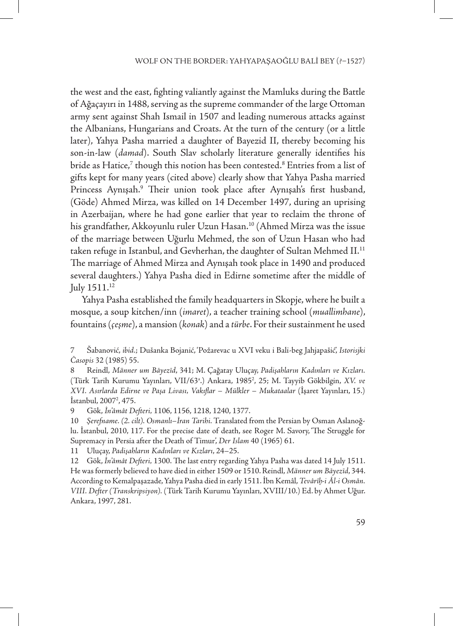the west and the east, fighting valiantly against the Mamluks during the Battle of Ağaçayırı in 1488, serving as the supreme commander of the large Ottoman army sent against Shah Ismail in 1507 and leading numerous attacks against the Albanians, Hungarians and Croats. At the turn of the century (or a little later), Yahya Pasha married a daughter of Bayezid II, thereby becoming his son-in-law (*damad*). South Slav scholarly literature generally identifies his bride as Hatice,<sup>7</sup> though this notion has been contested.<sup>8</sup> Entries from a list of gifts kept for many years (cited above) clearly show that Yahya Pasha married Princess Aynışah.9 Their union took place after Aynışah's first husband, (Göde) Ahmed Mirza, was killed on 14 December 1497, during an uprising in Azerbaijan, where he had gone earlier that year to reclaim the throne of his grandfather, Akkoyunlu ruler Uzun Hasan.10 (Ahmed Mirza was the issue of the marriage between Uğurlu Mehmed, the son of Uzun Hasan who had taken refuge in Istanbul, and Gevherhan, the daughter of Sultan Mehmed II. $^{\rm 11}$ The marriage of Ahmed Mirza and Aynışah took place in 1490 and produced several daughters.) Yahya Pasha died in Edirne sometime after the middle of July 1511.<sup>12</sup>

Yahya Pasha established the family headquarters in Skopje, where he built a mosque, a soup kitchen/inn (*imaret*), a teacher training school (*muallimhane*), fountains (*çeşme*), a mansion (*konak*) and a *türbe*. For their sustainment he used

7 Šabanović, *ibid.*; Dušanka Bojanić, 'Požarevac u XVI veku i Bali-beg Jahjapašić', *Istorisjki Časopis* 32 (1985) 55.

8 Reindl, *Männer um Bāyezīd*, 341; M. Çağatay Uluçay, *Padişahların Kadınları ve Kızları.* (Türk Tarih Kurumu Yayınları, VII/63a .) Ankara, 19852 , 25; M. Tayyib Gökbilgin, *XV. ve XVI. Asırlarda Edirne ve Paşa Livası, Vakıflar – Mülkler – Mukataalar* (İşaret Yayınları, 15.) İstanbul, 2007<sup>2</sup>, 475.

9 Gök, *İn'âmât Defteri,* 1106, 1156, 1218, 1240, 1377.

10 *Şerefname. (2. cilt). Osmanlı–İran Tarihi.* Translated from the Persian by Osman Aslanoğlu. İstanbul, 2010, 117. For the precise date of death, see Roger M. Savory, 'The Struggle for Supremacy in Persia after the Death of Timur', *Der Islam* 40 (1965) 61.

11 Uluçay, *Padişahların Kadınları ve Kızları*, 24–25.

12 Gök, *İn'âmât Defteri,* 1300. The last entry regarding Yahya Pasha was dated 14 July 1511. He was formerly believed to have died in either 1509 or 1510. Reindl, *Männer um Bāyezīd*, 344. According to Kemalpaşazade, Yahya Pasha died in early 1511. İbn Kemâl, *Tevârîh i Âl-i Osmân.*<br>VIII. Daftar (*Teanskrittsion*), (Türk Tarih Kurman Yanghar, XVIII/10 ) Ed. by Abrast Užvr. *VIII. Defter (Transkripsiyon).* (Türk Tarih Kurumu Yayınları, XVIII/10.) Ed. by Ahmet Uğur. Ankara, 1997, 281.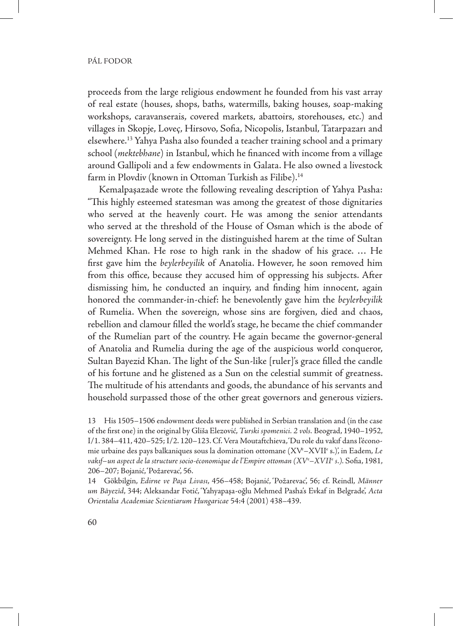proceeds from the large religious endowment he founded from his vast array of real estate (houses, shops, baths, watermills, baking houses, soap-making workshops, caravanserais, covered markets, abattoirs, storehouses, etc.) and villages in Skopje, Loveç, Hirsovo, Sofia, Nicopolis, Istanbul, Tatarpazarı and elsewhere.13 Yahya Pasha also founded a teacher training school and a primary school (*mektebhane*) in Istanbul, which he financed with income from a village around Gallipoli and a few endowments in Galata. He also owned a livestock farm in Plovdiv (known in Ottoman Turkish as Filibe).<sup>14</sup>

Kemalpaşazade wrote the following revealing description of Yahya Pasha: "This highly esteemed statesman was among the greatest of those dignitaries who served at the heavenly court. He was among the senior attendants who served at the threshold of the House of Osman which is the abode of sovereignty. He long served in the distinguished harem at the time of Sultan Mehmed Khan. He rose to high rank in the shadow of his grace. … He first gave him the *beylerbeyilik* of Anatolia. However, he soon removed him from this office, because they accused him of oppressing his subjects. After dismissing him, he conducted an inquiry, and finding him innocent, again honored the commander-in-chief: he benevolently gave him the *beylerbeyilik* of Rumelia. When the sovereign, whose sins are forgiven, died and chaos, rebellion and clamour filled the world's stage, he became the chief commander of the Rumelian part of the country. He again became the governor-general of Anatolia and Rumelia during the age of the auspicious world conqueror, Sultan Bayezid Khan. The light of the Sun-like [ruler]'s grace filled the candle of his fortune and he glistened as a Sun on the celestial summit of greatness. The multitude of his attendants and goods, the abundance of his servants and household surpassed those of the other great governors and generous viziers.

14 Gökbilgin, *Edirne ve Paşa Livası*, 456–458; Bojanić, 'Požarevac', 56; cf. Reindl, *Männer um Bāyezīd*, 344; Aleksandar Fotić, 'Yahyapaşa-oğlu Mehmed Pasha's Evkaf in Belgrade', *Acta Orientalia Academiae Scientiarum Hungaricae* 54:4 (2001) 438–439.

<sup>13</sup> His 1505–1506 endowment deeds were published in Serbian translation and (in the case of the first one) in the original by Gliša Elezović, *Turski spomenici. 2 vols.* Beograd, 1940–1952, I/1. 384–411, 420–525; I/2. 120–123. Cf. Vera Moutaftchieva, 'Du role du vakıf dans l'économie urbaine des pays balkaniques sous la domination ottomane (XVe –XVIIe s.)', in Eadem, *Le vakıf–un aspect de la structure socio-économique de l'Empire ottoman (XV*<sup>e</sup> *–XVII*<sup>e</sup>  *s.).* Sofia, 1981, 206–207; Bojanić, 'Požarevac', 56.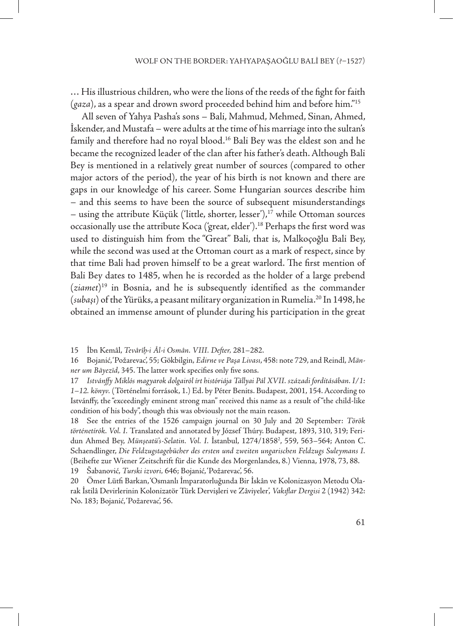… His illustrious children, who were the lions of the reeds of the fight for faith (*gaza*), as a spear and drown sword proceeded behind him and before him."15

All seven of Yahya Pasha's sons – Bali, Mahmud, Mehmed, Sinan, Ahmed, İskender, and Mustafa – were adults at the time of his marriage into the sultan's family and therefore had no royal blood.<sup>16</sup> Bali Bey was the eldest son and he became the recognized leader of the clan after his father's death. Although Bali Bey is mentioned in a relatively great number of sources (compared to other major actors of the period), the year of his birth is not known and there are gaps in our knowledge of his career. Some Hungarian sources describe him – and this seems to have been the source of subsequent misunderstandings – using the attribute Küçük ('little, shorter, lesser'),17 while Ottoman sources occasionally use the attribute Koca ('great, elder').<sup>18</sup> Perhaps the first word was used to distinguish him from the "Great" Bali, that is, Malkoçoğlu Bali Bey, while the second was used at the Ottoman court as a mark of respect, since by that time Bali had proven himself to be a great warlord. The first mention of Bali Bey dates to 1485, when he is recorded as the holder of a large prebend (*ziamet*)19 in Bosnia, and he is subsequently identified as the commander (*subaşı*) of the Yürüks, a peasant military organization in Rumelia.20 In 1498, he obtained an immense amount of plunder during his participation in the great

<sup>15</sup> İbn Kemâl, *Tevârîh˘ -i Âl-i Osmân. VIII. Defter,* 281–282.

16 Bojanić, 'Požarevac', 55; Gökbilgin, *Edirne ve Paşa Livası*, 458: note 729, and Reindl, *Männer um Bāyezīd*, 345. The latter work specifies only five sons.

17 *Istvánffy Miklós magyarok dolgairól írt históriája Tállyai Pál XVII. századi fordításában. I/1: 1–12. könyv.* (Történelmi források, 1.) Ed. by Péter Benits. Budapest, 2001, 154. According to Istvánffy, the "exceedingly eminent strong man" received this name as a result of "the child-like condition of his body", though this was obviously not the main reason.

18 See the entries of the 1526 campaign journal on 30 July and 20 September: *Török történetírók. Vol. I.* Translated and annotated by József Thúry. Budapest, 1893, 310, 319; Feridun Ahmed Bey, *Münşeatü's-Selatin. Vol. I.* İstanbul, 1274/18582 , 559, 563–564; Anton C. Schaendlinger, *Die Feldzugstagebücher des ersten und zweiten ungarischen Feldzugs Suleymans I.*  (Beihefte zur Wiener Zeitschrift für die Kunde des Morgenlandes, 8.) Vienna, 1978, 73, 88.

19 Šabanović, *Turski izvori,* 646; Bojanić, 'Požarevac', 56.

20 Ömer Lütfi Barkan, 'Osmanlı İmparatorluğunda Bir İskân ve Kolonizasyon Metodu Olarak İstilâ Devirlerinin Kolonizatör Türk Dervişleri ve Zâviyeler', *Vakıflar Dergisi* 2 (1942) 342: No. 183; Bojanić, 'Požarevac', 56.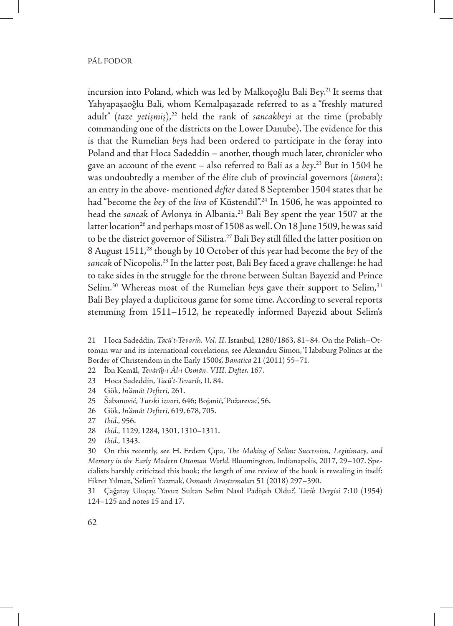incursion into Poland, which was led by Malkoçoğlu Bali Bey.<sup>21</sup> It seems that Yahyapaşaoğlu Bali, whom Kemalpaşazade referred to as a "freshly matured adult" (*taze yetişmiş*),<sup>22</sup> held the rank of *sancakbeyi* at the time (probably commanding one of the districts on the Lower Danube). The evidence for this is that the Rumelian *bey*s had been ordered to participate in the foray into Poland and that Hoca Sadeddin – another, though much later, chronicler who gave an account of the event – also referred to Bali as a *bey*. 23 But in 1504 he was undoubtedly a member of the élite club of provincial governors (*ümera*): an entry in the above- mentioned *defter* dated 8 September 1504 states that he had "become the *bey* of the *liva* of Küstendil".24 In 1506, he was appointed to head the *sancak* of Avlonya in Albania.25 Bali Bey spent the year 1507 at the latter location<sup>26</sup> and perhaps most of 1508 as well. On 18 June 1509, he was said to be the district governor of Silistra.<sup>27</sup> Bali Bey still filled the latter position on 8 August 1511,28 though by 10 October of this year had become the *bey* of the *sancak* of Nicopolis.29 In the latter post, Bali Bey faced a grave challenge: he had to take sides in the struggle for the throne between Sultan Bayezid and Prince Selim.<sup>30</sup> Whereas most of the Rumelian *beys* gave their support to Selim,<sup>31</sup> Bali Bey played a duplicitous game for some time. According to several reports stemming from 1511–1512, he repeatedly informed Bayezid about Selim's

21 Hoca Sadeddin, *Tacü't-Tevarih. Vol. II*. Istanbul, 1280/1863, 81–84. On the Polish–Ottoman war and its international correlations, see Alexandru Simon, 'Habsburg Politics at the Border of Christendom in the Early 1500s', *Banatica* 21 (2011) 55–71.

- <sup>22</sup> İbn Kemâl, *Tevârîh˘ -i Âl-i Osmân*. *VIII. Defter,* 167.
- 23 Hoca Sadeddin, *Tacü't-Tevarih*, II. 84.
- 24 Gök, *İn'âmât Defteri,* 261.
- 25 Šabanović, *Turski izvori,* 646; Bojanić, 'Požarevac', 56.
- 26 Gök, *İn'âmât Defteri,* 619, 678, 705.
- 27 *Ibid.,* 956.
- 28 *Ibid.,* 1129, 1284, 1301, 1310–1311.
- 29 *Ibid.,* 1343.

30 On this recently, see H. Erdem Çıpa, *The Making of Selim: Succession, Legitimacy, and Memory in the Early Modern Ottoman World.* Bloomington, Indianapolis, 2017, 29–107. Specialists harshly criticized this book; the length of one review of the book is revealing in itself: Fikret Yılmaz, 'Selim'i Yazmak', *Osmanlı Araştırmaları* 51 (2018) 297–390.

31 Çağatay Uluçay, 'Yavuz Sultan Selim Nasıl Padişah Oldu?', *Tarih Dergisi* 7:10 (1954) 124–125 and notes 15 and 17.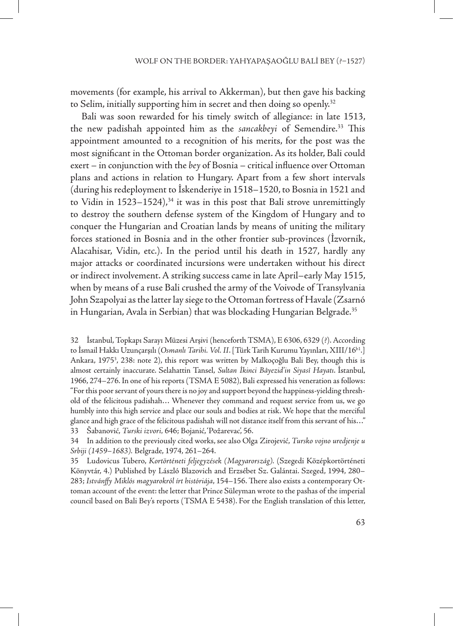movements (for example, his arrival to Akkerman), but then gave his backing to Selim, initially supporting him in secret and then doing so openly. $32$ 

Bali was soon rewarded for his timely switch of allegiance: in late 1513, the new padishah appointed him as the *sancakbeyi* of Semendire.33 This appointment amounted to a recognition of his merits, for the post was the most significant in the Ottoman border organization. As its holder, Bali could exert – in conjunction with the *bey* of Bosnia – critical influence over Ottoman plans and actions in relation to Hungary. Apart from a few short intervals (during his redeployment to İskenderiye in 1518–1520, to Bosnia in 1521 and to Vidin in  $1523-1524$ ,<sup>34</sup> it was in this post that Bali strove unremittingly to destroy the southern defense system of the Kingdom of Hungary and to conquer the Hungarian and Croatian lands by means of uniting the military forces stationed in Bosnia and in the other frontier sub-provinces (İzvornik, Alacahisar, Vidin, etc.). In the period until his death in 1527, hardly any major attacks or coordinated incursions were undertaken without his direct or indirect involvement. A striking success came in late April–early May 1515, when by means of a ruse Bali crushed the army of the Voivode of Transylvania John Szapolyai as the latter lay siege to the Ottoman fortress of Havale (Zsarnó in Hungarian, Avala in Serbian) that was blockading Hungarian Belgrade.<sup>35</sup>

32 İstanbul, Topkapı Sarayı Müzesi Arşivi (henceforth TSMA), E 6306, 6329 (?). According to İsmail Hakkı Uzunçarşılı (*Osmanlı Tarihi. Vol. II*. [Türk Tarih Kurumu Yayınları, XIII/16b1.] Ankara, 1975<sup>3</sup>, 238: note 2), this report was written by Malkoçoğlu Bali Bey, though this is almost certainly inaccurate. Selahattin Tansel, *Sultan İkinci Bâyezid'in Siyasî Hayatı*. İstanbul, 1966, 274–276. In one of his reports (TSMA E 5082), Bali expressed his veneration as follows: "For this poor servant of yours there is no joy and support beyond the happiness-yielding threshold of the felicitous padishah… Whenever they command and request service from us, we go humbly into this high service and place our souls and bodies at risk. We hope that the merciful glance and high grace of the felicitous padishah will not distance itself from this servant of his…" 33 Šabanović, *Turski izvori,* 646; Bojanić, 'Požarevac', 56.

34 In addition to the previously cited works, see also Olga Zirojević, *Tursko vojno uredjenje u Srbiji (1459–1683).* Belgrade, 1974, 261–264.

35 Ludovicus Tubero, *Kortörténeti feljegyzések (Magyarország).* (Szegedi Középkortörténeti Könyvtár, 4.) Published by László Blazovich and Erzsébet Sz. Galántai. Szeged, 1994, 280– 283; *Istvánffy Miklós magyarokról írt históriája*, 154–156. There also exists a contemporary Ottoman account of the event: the letter that Prince Süleyman wrote to the pashas of the imperial council based on Bali Bey's reports (TSMA E 5438). For the English translation of this letter,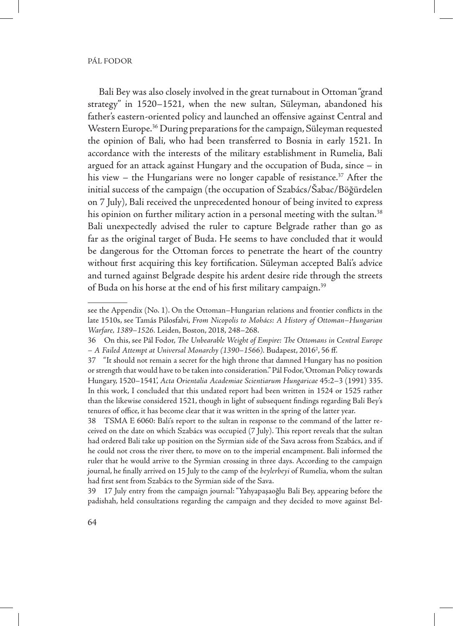Bali Bey was also closely involved in the great turnabout in Ottoman "grand strategy" in 1520–1521, when the new sultan, Süleyman, abandoned his father's eastern-oriented policy and launched an offensive against Central and Western Europe.<sup>36</sup> During preparations for the campaign, Süleyman requested the opinion of Bali, who had been transferred to Bosnia in early 1521. In accordance with the interests of the military establishment in Rumelia, Bali argued for an attack against Hungary and the occupation of Buda, since – in his view – the Hungarians were no longer capable of resistance.<sup>37</sup> After the initial success of the campaign (the occupation of Szabács/Šabac/Böğürdelen on 7 July), Bali received the unprecedented honour of being invited to express his opinion on further military action in a personal meeting with the sultan.<sup>38</sup> Bali unexpectedly advised the ruler to capture Belgrade rather than go as far as the original target of Buda. He seems to have concluded that it would be dangerous for the Ottoman forces to penetrate the heart of the country without first acquiring this key fortification. Süleyman accepted Bali's advice and turned against Belgrade despite his ardent desire ride through the streets of Buda on his horse at the end of his first military campaign.<sup>39</sup>

39 17 July entry from the campaign journal: "Yahyapaşaoğlu Bali Bey, appearing before the padishah, held consultations regarding the campaign and they decided to move against Bel-

see the Appendix (No. 1). On the Ottoman–Hungarian relations and frontier conflicts in the late 1510s, see Tamás Pálosfalvi, *From Nicopolis to Mohács: A History of Ottoman–Hungarian Warfare, 1389–1526.* Leiden, Boston, 2018, 248–268.

<sup>36</sup> On this, see Pál Fodor, *The Unbearable Weight of Empire: The Ottomans in Central Europe*  – A Failed Attempt at Universal Monarchy (1390–1566). Budapest, 2016<sup>2</sup>, 56 ff.

<sup>37</sup> "It should not remain a secret for the high throne that damned Hungary has no position or strength that would have to be taken into consideration." Pál Fodor, 'Ottoman Policy towards Hungary, 1520–1541', *Acta Orientalia Academiae Scientiarum Hungaricae* 45:2–3 (1991) 335. In this work, I concluded that this undated report had been written in 1524 or 1525 rather than the likewise considered 1521, though in light of subsequent findings regarding Bali Bey's tenures of office, it has become clear that it was written in the spring of the latter year.

<sup>38</sup> TSMA E 6060: Bali's report to the sultan in response to the command of the latter received on the date on which Szabács was occupied (7 July). This report reveals that the sultan had ordered Bali take up position on the Syrmian side of the Sava across from Szabács, and if he could not cross the river there, to move on to the imperial encampment. Bali informed the ruler that he would arrive to the Syrmian crossing in three days. According to the campaign journal, he finally arrived on 15 July to the camp of the *beylerbeyi* of Rumelia, whom the sultan had first sent from Szabács to the Syrmian side of the Sava.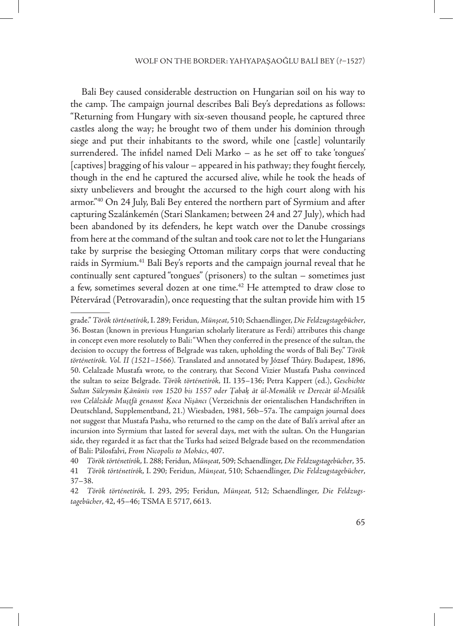Bali Bey caused considerable destruction on Hungarian soil on his way to the camp. The campaign journal describes Bali Bey's depredations as follows: "Returning from Hungary with six-seven thousand people, he captured three castles along the way; he brought two of them under his dominion through siege and put their inhabitants to the sword, while one [castle] voluntarily surrendered. The infidel named Deli Marko – as he set off to take 'tongues' [captives] bragging of his valour – appeared in his pathway; they fought fiercely, though in the end he captured the accursed alive, while he took the heads of sixty unbelievers and brought the accursed to the high court along with his armor."40 On 24 July, Bali Bey entered the northern part of Syrmium and after capturing Szalánkemén (Stari Slankamen; between 24 and 27 July), which had been abandoned by its defenders, he kept watch over the Danube crossings from here at the command of the sultan and took care not to let the Hungarians take by surprise the besieging Ottoman military corps that were conducting raids in Syrmium.41 Bali Bey's reports and the campaign journal reveal that he continually sent captured "tongues" (prisoners) to the sultan – sometimes just a few, sometimes several dozen at one time. $42$  He attempted to draw close to Pétervárad (Petrovaradin), once requesting that the sultan provide him with 15

grade." *Török történetírók*, I. 289; Feridun, *Münşeat*, 510; Schaendlinger, *Die Feldzugstagebücher*, 36. Bostan (known in previous Hungarian scholarly literature as Ferdi) attributes this change in concept even more resolutely to Bali: "When they conferred in the presence of the sultan, the decision to occupy the fortress of Belgrade was taken, upholding the words of Bali Bey." *Török történetírók. Vol. II (1521–1566).* Translated and annotated by József Thúry. Budapest, 1896, 50. Celalzade Mustafa wrote, to the contrary, that Second Vizier Mustafa Pasha convinced the sultan to seize Belgrade. *Török történetírók,* II. 135–136; Petra Kappert (ed.), *Geschichte*  Sultan Süleymān Ķānūnīs von 1520 bis 1557 oder Țabak āt ül-Memālik ve Derecāt ül-Mesālik von Celālzāde Muștfā genannt Koca Nișāncı (Verzeichnis der orientalischen Handschriften in Deutschland, Supplementband, 21.) Wiesbaden, 1981, 56b–57a. The campaign journal does not suggest that Mustafa Pasha, who returned to the camp on the date of Bali's arrival after an incursion into Syrmium that lasted for several days, met with the sultan. On the Hungarian side, they regarded it as fact that the Turks had seized Belgrade based on the recommendation of Bali: Pálosfalvi, *From Nicopolis to Mohács*, 407.

<sup>40</sup> *Török történetírók*, I. 288; Feridun, *Münşeat*, 509; Schaendlinger, *Die Feldzugstagebücher*, 35. 41 *Török történetírók*, I. 290; Feridun, *Münşeat*, 510; Schaendlinger, *Die Feldzugstagebücher*, 37–38.

<sup>42</sup> *Török történetírók,* I. 293, 295; Feridun, *Münşeat*, 512; Schaendlinger, *Die Feldzugstagebücher*, 42, 45–46; TSMA E 5717, 6613.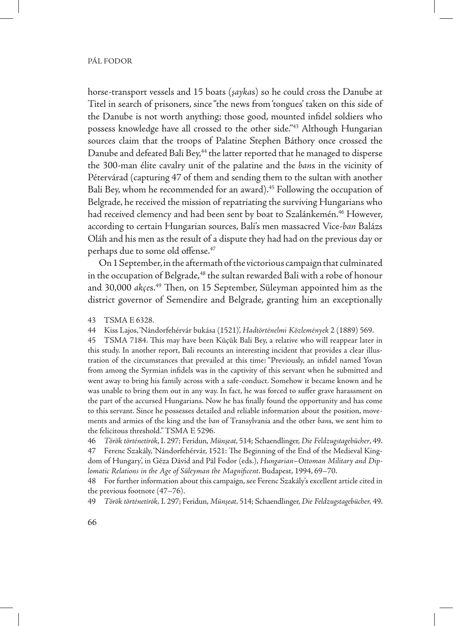horse-transport vessels and 15 boats (*şayka*s) so he could cross the Danube at Titel in search of prisoners, since "the news from 'tongues' taken on this side of the Danube is not worth anything; those good, mounted infidel soldiers who possess knowledge have all crossed to the other side."43 Although Hungarian sources claim that the troops of Palatine Stephen Báthory once crossed the Danube and defeated Bali Bey,<sup>44</sup> the latter reported that he managed to disperse the 300-man élite cavalry unit of the palatine and the *ban*s in the vicinity of Pétervárad (capturing 47 of them and sending them to the sultan with another Bali Bey, whom he recommended for an award).<sup>45</sup> Following the occupation of Belgrade, he received the mission of repatriating the surviving Hungarians who had received clemency and had been sent by boat to Szalánkemén.<sup>46</sup> However, according to certain Hungarian sources, Bali's men massacred Vice-*ban* Balázs Oláh and his men as the result of a dispute they had had on the previous day or perhaps due to some old offense.<sup>47</sup>

On 1 September, in the aftermath of the victorious campaign that culminated in the occupation of Belgrade,<sup>48</sup> the sultan rewarded Bali with a robe of honour and 30,000 *akçe*s.49 Then, on 15 September, Süleyman appointed him as the district governor of Semendire and Belgrade, granting him an exceptionally

43 TSMA E 6328.

44 Kiss Lajos, 'Nándorfehérvár bukása (1521)', *Hadtörténelmi Közlemények* 2 (1889) 569.

45 TSMA 7184. This may have been Küçük Bali Bey, a relative who will reappear later in this study. In another report, Bali recounts an interesting incident that provides a clear illustration of the circumstances that prevailed at this time: "Previously, an infidel named Yovan from among the Syrmian infidels was in the captivity of this servant when he submitted and went away to bring his family across with a safe-conduct. Somehow it became known and he was unable to bring them out in any way. In fact, he was forced to suffer grave harassment on the part of the accursed Hungarians. Now he has finally found the opportunity and has come to this servant. Since he possesses detailed and reliable information about the position, movements and armies of the king and the *ban* of Transylvania and the other *ban*s, we sent him to the felicitous threshold." TSMA E 5296.

46 *Török történetírók*, I. 297; Feridun, *Münşeat*, 514; Schaendlinger, *Die Feldzugstagebücher*, 49. 47 Ferenc Szakály, 'Nándorfehérvár, 1521: The Beginning of the End of the Medieval Kingdom of Hungary', in Géza Dávid and Pál Fodor (eds.), *Hungarian–Ottoman Military and Diplomatic Relations in the Age of Süleyman the Magnificent*. Budapest, 1994, 69–70.

48 For further information about this campaign, see Ferenc Szakály's excellent article cited in the previous footnote (47–76).

49 *Török történetírók,* I. 297; Feridun, *Münşeat,* 514; Schaendlinger, *Die Feldzugstagebücher,* 49.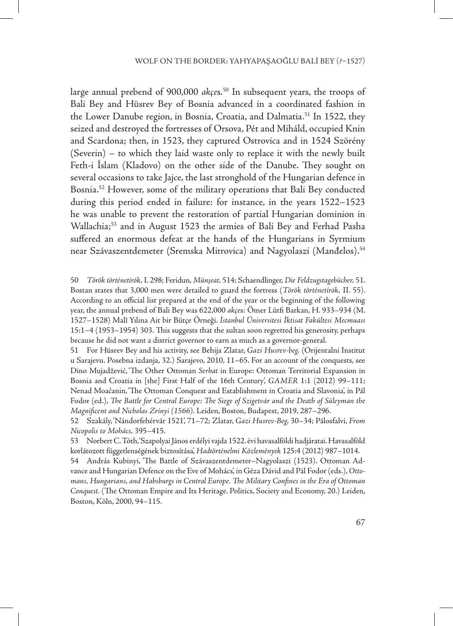#### WOLF ON THE BORDER: YAHYAPASAOĞLU BALİ BEY (?-1527)

large annual prebend of 900,000 *akçe*s*.* 50 In subsequent years, the troops of Bali Bey and Hüsrev Bey of Bosnia advanced in a coordinated fashion in the Lower Danube region, in Bosnia, Croatia, and Dalmatia.<sup>51</sup> In 1522, they seized and destroyed the fortresses of Orsova, Pét and Miháld, occupied Knin and Scardona; then, in 1523, they captured Ostrovica and in 1524 Szörény (Severin) – to which they laid waste only to replace it with the newly built Feth-i İslam (Kladovo) on the other side of the Danube. They sought on several occasions to take Jajce, the last stronghold of the Hungarian defence in Bosnia.<sup>52</sup> However, some of the military operations that Bali Bey conducted during this period ended in failure: for instance, in the years 1522–1523 he was unable to prevent the restoration of partial Hungarian dominion in Wallachia;<sup>53</sup> and in August 1523 the armies of Bali Bey and Ferhad Pasha suffered an enormous defeat at the hands of the Hungarians in Syrmium near Szávaszentdemeter (Sremska Mitrovica) and Nagyolaszi (Manđelos).54

50 *Török történetírók,* I. 298; Feridun, *Münşeat,* 514; Schaendlinger, *Die Feldzugstagebücher,* 51. Bostan states that 3,000 men were detailed to guard the fortress (*Török történetírók,* II. 55). According to an official list prepared at the end of the year or the beginning of the following year, the annual prebend of Bali Bey was 622,000 *akçe*s: Ömer Lûtfi Barkan, H. 933–934 (M. 1527–1528) Malî Yılına Ait bir Bütçe Örneği. *İstanbul Üniversitesi İktisat Fakültesi Mecmuası*  15:1–4 (1953–1954) 303. This suggests that the sultan soon regretted his generosity, perhaps because he did not want a district governor to earn as much as a governor-general.

51 For Hüsrev Bey and his activity, see Behija Zlatar, *Gazi Husrev-beg.* (Orijentalni Institut u Sarajevu. Posebna izdanja, 32.) Sarajevo, 2010, 11–65. For an account of the conquests, see Dino Mujadžević, 'The Other Ottoman *Serhat* in Europe: Ottoman Territorial Expansion in Bosnia and Croatia in [the] First Half of the 16th Century', *GAMER* 1:1 (2012) 99–111; Nenad Moačanin, 'The Ottoman Conquest and Establishment in Croatia and Slavonia', in Pál Fodor (ed.), *The Battle for Central Europe: The Siege of Szigetvár and the Death of Süleyman the Magnificent and Nicholas Zrínyi (1566).* Leiden, Boston, Budapest, 2019, 287–296.

52 Szakály, 'Nándorfehérvár 1521', 71–72; Zlatar, *Gazi Husrev-Beg,* 30–34; Pálosfalvi, *From Nicopolis to Mohács,* 395–415.

54 András Kubinyi, 'The Battle of Szávaszentdemeter–Nagyolaszi (1523). Ottoman Advance and Hungarian Defence on the Eve of Mohács', in Géza Dávid and Pál Fodor (eds.), *Ottomans, Hungarians, and Habsburgs in Central Europe. The Military Confines in the Era of Ottoman Conquest.* (The Ottoman Empire and Its Heritage. Politics, Society and Economy, 20.) Leiden, Boston, Köln, 2000, 94–115.

<sup>53</sup> Norbert C. Tóth, 'Szapolyai János erdélyi vajda 1522. évi havasalföldi hadjáratai. Havasalföld korlátozott függetlenségének biztosítása', *Hadtörténelmi Közlemények* 125:4 (2012) 987–1014.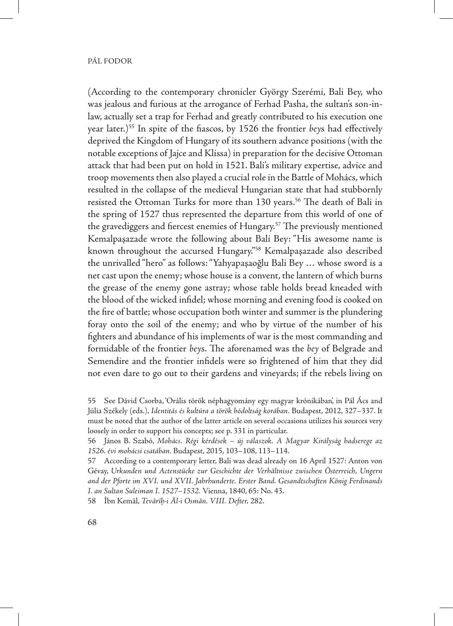(According to the contemporary chronicler György Szerémi, Bali Bey, who was jealous and furious at the arrogance of Ferhad Pasha, the sultan's son-inlaw, actually set a trap for Ferhad and greatly contributed to his execution one year later.)55 In spite of the fiascos, by 1526 the frontier *bey*s had effectively deprived the Kingdom of Hungary of its southern advance positions (with the notable exceptions of Jajce and Klissa) in preparation for the decisive Ottoman attack that had been put on hold in 1521. Bali's military expertise, advice and troop movements then also played a crucial role in the Battle of Mohács, which resulted in the collapse of the medieval Hungarian state that had stubbornly resisted the Ottoman Turks for more than 130 years.<sup>56</sup> The death of Bali in the spring of 1527 thus represented the departure from this world of one of the gravediggers and fiercest enemies of Hungary.<sup>57</sup> The previously mentioned Kemalpaşazade wrote the following about Bali Bey: "His awesome name is known throughout the accursed Hungary."58 Kemalpaşazade also described the unrivalled "hero" as follows: "Yahyapaşaoğlu Bali Bey … whose sword is a net cast upon the enemy; whose house is a convent, the lantern of which burns the grease of the enemy gone astray; whose table holds bread kneaded with the blood of the wicked infidel; whose morning and evening food is cooked on the fire of battle; whose occupation both winter and summer is the plundering foray onto the soil of the enemy; and who by virtue of the number of his fighters and abundance of his implements of war is the most commanding and formidable of the frontier *bey*s. The aforenamed was the *bey* of Belgrade and Semendire and the frontier infidels were so frightened of him that they did not even dare to go out to their gardens and vineyards; if the rebels living on

<sup>55</sup> See Dávid Csorba, 'Orális török néphagyomány egy magyar krónikában', in Pál Ács and Júlia Székely (eds.), *Identitás és kultúra a török hódoltság korában.* Budapest, 2012, 327–337. It must be noted that the author of the latter article on several occasions utilizes his sources very loosely in order to support his concepts; see p. 331 in particular.

<sup>56</sup> János B. Szabó, *Mohács. Régi kérdések – új válaszok. A Magyar Királyság hadserege az 1526. évi mohácsi csatában.* Budapest, 2015, 103–108, 113–114.

<sup>57</sup> According to a contemporary letter, Bali was dead already on 16 April 1527: Anton von Gévay, *Urkunden und Actenstücke zur Geschichte der Verhältnisse zwischen Österreich, Ungern and der Pforte im XVI. und XVII. Jahrhunderte. Erster Band. Gesandtschaften König Ferdinands I. an Sultan Suleiman I. 1527–1532.* Vienna, 1840, 65: No. 43.

<sup>58</sup> İbn Kemâl, *Tevârîh˘ -i Âl-i Osmân. VIII. Defter,* 282.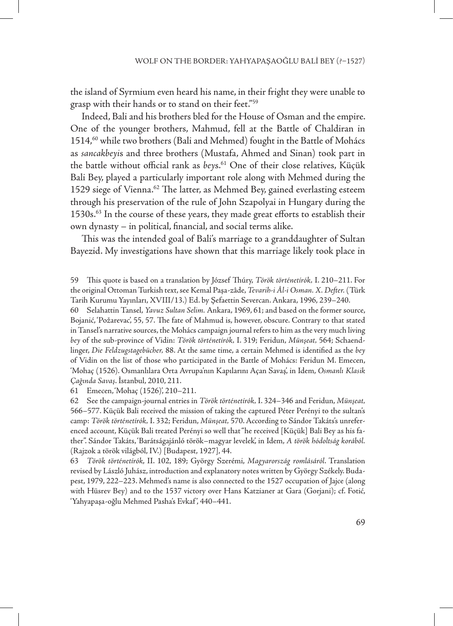the island of Syrmium even heard his name, in their fright they were unable to grasp with their hands or to stand on their feet."59

Indeed, Bali and his brothers bled for the House of Osman and the empire. One of the younger brothers, Mahmud, fell at the Battle of Chaldiran in 1514,<sup>60</sup> while two brothers (Bali and Mehmed) fought in the Battle of Mohács as *sancakbeyi*s and three brothers (Mustafa, Ahmed and Sinan) took part in the battle without official rank as *bey*s.61 One of their close relatives, Küçük Bali Bey, played a particularly important role along with Mehmed during the 1529 siege of Vienna.<sup>62</sup> The latter, as Mehmed Bey, gained everlasting esteem through his preservation of the rule of John Szapolyai in Hungary during the 1530s.<sup>63</sup> In the course of these years, they made great efforts to establish their own dynasty – in political, financial, and social terms alike.

This was the intended goal of Bali's marriage to a granddaughter of Sultan Bayezid. My investigations have shown that this marriage likely took place in

59 This quote is based on a translation by József Thúry, *Török történetírók,* I. 210–211. For the original Ottoman Turkish text, see Kemal Paşa-zâde, *Tevarih-i Âl-i Osman. X. Defter.* (Türk Tarih Kurumu Yayınları, XVIII/13.) Ed. by Şefaettin Severcan. Ankara, 1996, 239–240.

60 Selahattin Tansel, *Yavuz Sultan Selim.* Ankara, 1969, 61; and based on the former source, Bojanić, 'Požarevac', 55, 57. The fate of Mahmud is, however, obscure. Contrary to that stated in Tansel's narrative sources, the Mohács campaign journal refers to him as the very much living *bey* of the sub-province of Vidin: *Török történetírók,* I. 319; Feridun, *Münşeat,* 564; Schaendlinger, *Die Feldzugstagebücher,* 88. At the same time, a certain Mehmed is identified as the *bey* of Vidin on the list of those who participated in the Battle of Mohács: Feridun M. Emecen, 'Mohaç (1526). Osmanlılara Orta Avrupa'nın Kapılarını Açan Savaş', in Idem, *Osmanlı Klasik Çağında Savaş*. İstanbul, 2010, 211.

61 Emecen, 'Mohaç (1526)', 210–211.

62 See the campaign-journal entries in *Török történetírók,* I. 324–346 and Feridun, *Münşeat,* 566–577. Küçük Bali received the mission of taking the captured Péter Perényi to the sultan's camp: *Török történetírók,* I. 332; Feridun, *Münşeat,* 570. According to Sándor Takáts's unreferenced account, Küçük Bali treated Perényi so well that "he received [Küçük] Bali Bey as his father". Sándor Takáts, 'Barátságajánló török–magyar levelek', in Idem, *A török hódoltság korából.* (Rajzok a török világból, IV.) [Budapest, 1927], 44.

63 *Török történetírók*, II. 102, 189; György Szerémi, *Magyarország romlásáról*. Translation revised by László Juhász, introduction and explanatory notes written by György Székely. Budapest, 1979, 222–223. Mehmed's name is also connected to the 1527 occupation of Jajce (along with Hüsrev Bey) and to the 1537 victory over Hans Katzianer at Gara (Gorjani); cf. Fotić, 'Yahyapaşa-oğlu Mehmed Pasha's Evkaf ', 440–441.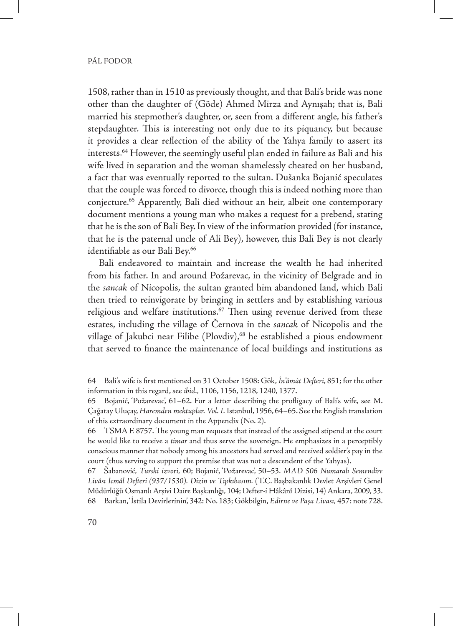1508, rather than in 1510 as previously thought, and that Bali's bride was none other than the daughter of (Göde) Ahmed Mirza and Aynışah; that is, Bali married his stepmother's daughter, or, seen from a different angle, his father's stepdaughter. This is interesting not only due to its piquancy, but because it provides a clear reflection of the ability of the Yahya family to assert its interests.64 However, the seemingly useful plan ended in failure as Bali and his wife lived in separation and the woman shamelessly cheated on her husband, a fact that was eventually reported to the sultan. Dušanka Bojanić speculates that the couple was forced to divorce, though this is indeed nothing more than conjecture.65 Apparently, Bali died without an heir, albeit one contemporary document mentions a young man who makes a request for a prebend, stating that he is the son of Bali Bey. In view of the information provided (for instance, that he is the paternal uncle of Ali Bey), however, this Bali Bey is not clearly identifiable as our Bali Bey.<sup>66</sup>

Bali endeavored to maintain and increase the wealth he had inherited from his father. In and around Požarevac, in the vicinity of Belgrade and in the *sancak* of Nicopolis, the sultan granted him abandoned land, which Bali then tried to reinvigorate by bringing in settlers and by establishing various religious and welfare institutions.<sup>67</sup> Then using revenue derived from these estates, including the village of Černova in the *sancak* of Nicopolis and the village of Jakubci near Filibe (Plovdiv),<sup>68</sup> he established a pious endowment that served to finance the maintenance of local buildings and institutions as

<sup>64</sup> Bali's wife is first mentioned on 31 October 1508: Gök, *İn'âmât Defteri*, 851; for the other information in this regard, see *ibid.,* 1106, 1156, 1218, 1240, 1377.

<sup>65</sup> Bojanić, 'Požarevac', 61–62. For a letter describing the profligacy of Bali's wife, see M. Çağatay Uluçay, *Haremden mektuplar. Vol. I.* Istanbul, 1956, 64–65. See the English translation of this extraordinary document in the Appendix (No. 2).

<sup>66</sup> TSMA E 8757. The young man requests that instead of the assigned stipend at the court he would like to receive a *timar* and thus serve the sovereign. He emphasizes in a perceptibly conscious manner that nobody among his ancestors had served and received soldier's pay in the court (thus serving to support the premise that was not a descendent of the Yahyas).

<sup>67</sup> Šabanović, *Turski izvori,* 60; Bojanić, 'Požarevac', 50–53. *MAD 506 Numaralı Semendire Livâsı İcmâl Defteri (937/1530). Dizin ve Tıpkıbasım.* (T.C. Başbakanlık Devlet Arşivleri Genel Müdürlüğü Osmanlı Arşivi Daire Başkanlığı, 104; Defter-i Hâkânî Dizisi, 14) Ankara, 2009, 33. 68 Barkan, 'İstila Devirlerinin', 342: No. 183; Gökbilgin, *Edirne ve Paşa Livası,* 457: note 728.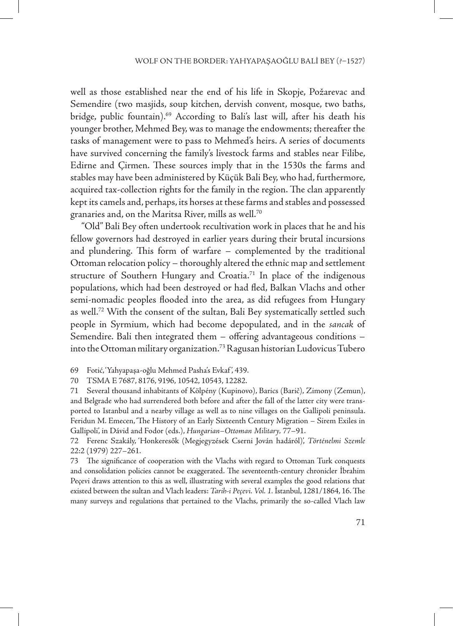well as those established near the end of his life in Skopje, Požarevac and Semendire (two masjids, soup kitchen, dervish convent, mosque, two baths, bridge, public fountain).<sup>69</sup> According to Bali's last will, after his death his younger brother, Mehmed Bey, was to manage the endowments; thereafter the tasks of management were to pass to Mehmed's heirs. A series of documents have survived concerning the family's livestock farms and stables near Filibe, Edirne and Çirmen. These sources imply that in the 1530s the farms and stables may have been administered by Küçük Bali Bey, who had, furthermore, acquired tax-collection rights for the family in the region. The clan apparently kept its camels and, perhaps, its horses at these farms and stables and possessed granaries and, on the Maritsa River, mills as well.70

"Old" Bali Bey often undertook recultivation work in places that he and his fellow governors had destroyed in earlier years during their brutal incursions and plundering. This form of warfare – complemented by the traditional Ottoman relocation policy – thoroughly altered the ethnic map and settlement structure of Southern Hungary and Croatia.<sup>71</sup> In place of the indigenous populations, which had been destroyed or had fled, Balkan Vlachs and other semi-nomadic peoples flooded into the area, as did refugees from Hungary as well.72 With the consent of the sultan, Bali Bey systematically settled such people in Syrmium, which had become depopulated, and in the *sancak* of Semendire. Bali then integrated them – offering advantageous conditions – into the Ottoman military organization.73 Ragusan historian Ludovicus Tubero

69 Fotić, 'Yahyapaşa-oğlu Mehmed Pasha's Evkaf ', 439.

70 TSMA E 7687, 8176, 9196, 10542, 10543, 12282.

71 Several thousand inhabitants of Kölpény (Kupinovo), Barics (Barič), Zimony (Zemun), and Belgrade who had surrendered both before and after the fall of the latter city were transported to Istanbul and a nearby village as well as to nine villages on the Gallipoli peninsula. Feridun M. Emecen, 'The History of an Early Sixteenth Century Migration – Sirem Exiles in Gallipoli', in Dávid and Fodor (eds.), *Hungarian–Ottoman Military,* 77–91.

72 Ferenc Szakály, 'Honkeresők (Megjegyzések Cserni Jován hadáról)', *Történelmi Szemle* 22:2 (1979) 227–261.

73 The significance of cooperation with the Vlachs with regard to Ottoman Turk conquests and consolidation policies cannot be exaggerated. The seventeenth-century chronicler İbrahim Peçevi draws attention to this as well, illustrating with several examples the good relations that existed between the sultan and Vlach leaders: *Tarih-i Peçevi. Vol. 1.* İstanbul, 1281/1864, 16. The many surveys and regulations that pertained to the Vlachs, primarily the so-called Vlach law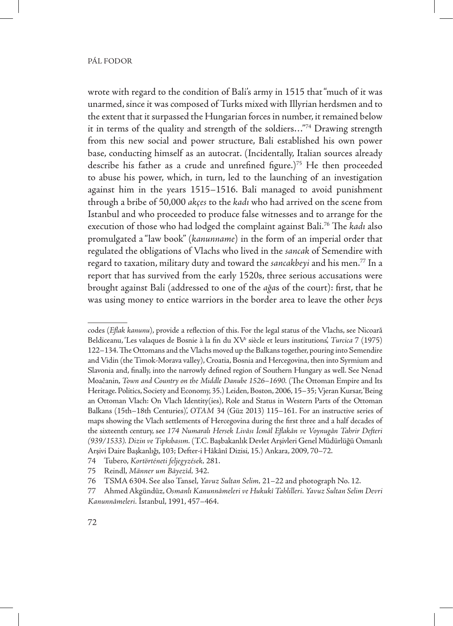wrote with regard to the condition of Bali's army in 1515 that "much of it was unarmed, since it was composed of Turks mixed with Illyrian herdsmen and to the extent that it surpassed the Hungarian forces in number, it remained below it in terms of the quality and strength of the soldiers…"74 Drawing strength from this new social and power structure, Bali established his own power base, conducting himself as an autocrat. (Incidentally, Italian sources already describe his father as a crude and unrefined figure.)<sup>75</sup> He then proceeded to abuse his power, which, in turn, led to the launching of an investigation against him in the years 1515–1516. Bali managed to avoid punishment through a bribe of 50,000 *akçes* to the *kadı* who had arrived on the scene from Istanbul and who proceeded to produce false witnesses and to arrange for the execution of those who had lodged the complaint against Bali.76 The *kadı* also promulgated a "law book" (*kanunname*) in the form of an imperial order that regulated the obligations of Vlachs who lived in the *sancak* of Semendire with regard to taxation, military duty and toward the *sancakbeyi* and his men.77 In a report that has survived from the early 1520s, three serious accusations were brought against Bali (addressed to one of the *ağa*s of the court): first, that he was using money to entice warriors in the border area to leave the other *bey*s

codes (*Eflak kanunu*), provide a reflection of this. For the legal status of the Vlachs, see Nicoară Beldiceanu, 'Les valaques de Bosnie à la fin du XVe siècle et leurs institutions', *Turcica* 7 (1975) 122–134. The Ottomans and the Vlachs moved up the Balkans together, pouring into Semendire and Vidin (the Timok-Morava valley), Croatia, Bosnia and Hercegovina, then into Syrmium and Slavonia and, finally, into the narrowly defined region of Southern Hungary as well. See Nenad Moačanin, *Town and Country on the Middle Danube 1526–1690.* (The Ottoman Empire and Its Heritage. Politics, Society and Economy, 35.) Leiden, Boston, 2006, 15–35; Vjeran Kursar, 'Being an Ottoman Vlach: On Vlach Identity(ies), Role and Status in Western Parts of the Ottoman Balkans (15th–18th Centuries)', *OTAM* 34 (Güz 2013) 115–161. For an instructive series of maps showing the Vlach settlements of Hercegovina during the first three and a half decades of the sixteenth century, see *174 Numaralı Hersek Livâsı İcmâl Eflakân ve Voynugân Tahrir Defteri (939/1533). Dizin ve Tıpkıbasım.* (T.C. Başbakanlık Devlet Arşivleri Genel Müdürlüğü Osmanlı Arşivi Daire Başkanlığı, 103; Defter-i Hâkânî Dizisi, 15.) Ankara, 2009, 70–72.

<sup>74</sup> Tubero, *Kortörténeti feljegyzések,* 281.

<sup>75</sup> Reindl, *Männer um Bāyezīd,* 342.

<sup>76</sup> TSMA 6304. See also Tansel, *Yavuz Sultan Selim,* 21–22 and photograph No. 12.

<sup>77</sup> Ahmed Akgündüz, *Osmanlı Kanunnâmeleri ve Hukukî Tahlilleri. Yavuz Sultan Selim Devri Kanunnâmeleri.* İstanbul, 1991, 457–464.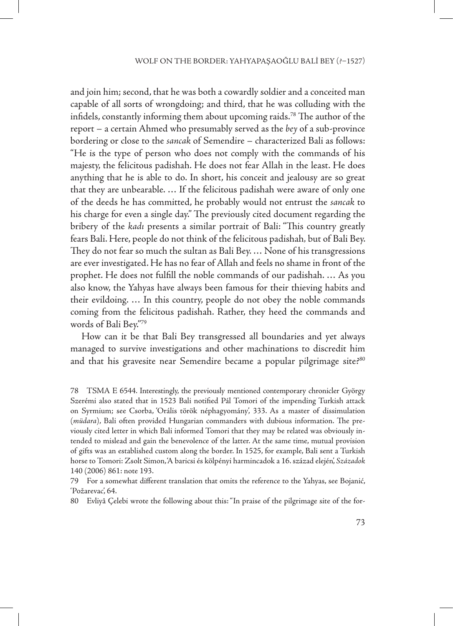and join him; second, that he was both a cowardly soldier and a conceited man capable of all sorts of wrongdoing; and third, that he was colluding with the infidels, constantly informing them about upcoming raids.78 The author of the report – a certain Ahmed who presumably served as the *bey* of a sub-province bordering or close to the *sancak* of Semendire – characterized Bali as follows: "He is the type of person who does not comply with the commands of his majesty, the felicitous padishah. He does not fear Allah in the least. He does anything that he is able to do. In short, his conceit and jealousy are so great that they are unbearable. … If the felicitous padishah were aware of only one of the deeds he has committed, he probably would not entrust the *sancak* to his charge for even a single day." The previously cited document regarding the bribery of the *kadı* presents a similar portrait of Bali: "This country greatly fears Bali. Here, people do not think of the felicitous padishah*,* but of Bali Bey. They do not fear so much the sultan as Bali Bey. … None of his transgressions are ever investigated. He has no fear of Allah and feels no shame in front of the prophet. He does not fulfill the noble commands of our padishah. … As you also know, the Yahyas have always been famous for their thieving habits and their evildoing. … In this country, people do not obey the noble commands coming from the felicitous padishah. Rather, they heed the commands and words of Bali Bey."79

How can it be that Bali Bey transgressed all boundaries and yet always managed to survive investigations and other machinations to discredit him and that his gravesite near Semendire became a popular pilgrimage site?<sup>80</sup>

78 TSMA E 6544. Interestingly, the previously mentioned contemporary chronicler György Szerémi also stated that in 1523 Bali notified Pál Tomori of the impending Turkish attack on Syrmium; see Csorba, 'Orális török néphagyomány', 333. As a master of dissimulation (*müdara*), Bali often provided Hungarian commanders with dubious information. The previously cited letter in which Bali informed Tomori that they may be related was obviously intended to mislead and gain the benevolence of the latter. At the same time, mutual provision of gifts was an established custom along the border. In 1525, for example, Bali sent a Turkish horse to Tomori: Zsolt Simon, 'A baricsi és kölpényi harmincadok a 16. század elején', *Századok* 140 (2006) 861: note 193.

79 For a somewhat different translation that omits the reference to the Yahyas, see Bojanić, 'Požarevac', 64.

80 Evliyâ Çelebi wrote the following about this: "In praise of the pilgrimage site of the for-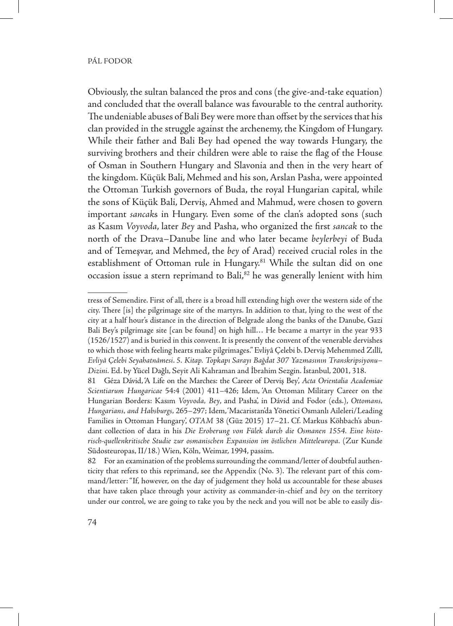Obviously, the sultan balanced the pros and cons (the give-and-take equation) and concluded that the overall balance was favourable to the central authority. The undeniable abuses of Bali Bey were more than offset by the services that his clan provided in the struggle against the archenemy, the Kingdom of Hungary. While their father and Bali Bey had opened the way towards Hungary, the surviving brothers and their children were able to raise the flag of the House of Osman in Southern Hungary and Slavonia and then in the very heart of the kingdom. Küçük Bali, Mehmed and his son, Arslan Pasha, were appointed the Ottoman Turkish governors of Buda, the royal Hungarian capital, while the sons of Küçük Bali, Derviş, Ahmed and Mahmud, were chosen to govern important *sancak*s in Hungary. Even some of the clan's adopted sons (such as Kasım *Voyvoda*, later *Bey* and Pasha, who organized the first *sancak* to the north of the Drava–Danube line and who later became *beylerbeyi* of Buda and of Temeşvar, and Mehmed, the *bey* of Arad) received crucial roles in the establishment of Ottoman rule in Hungary.<sup>81</sup> While the sultan did on one occasion issue a stern reprimand to Bali, $82$  he was generally lenient with him

tress of Semendire. First of all, there is a broad hill extending high over the western side of the city. There [is] the pilgrimage site of the martyrs. In addition to that, lying to the west of the city at a half hour's distance in the direction of Belgrade along the banks of the Danube, Gazi Bali Bey's pilgrimage site [can be found] on high hill… He became a martyr in the year 933 (1526/1527) and is buried in this convent. It is presently the convent of the venerable dervishes to which those with feeling hearts make pilgrimages." Evliyâ Çelebi b. Derviş Mehemmed Zıllî, *Evliyâ Çelebi Seyahatnâmesi*. *5. Kitap. Topkapı Sarayı Bağdat 307 Yazmasının Transkripsiyonu– Dizini.* Ed. by Yücel Dağlı, Seyit Ali Kahraman and İbrahim Sezgin. İstanbul, 2001, 318.

<sup>81</sup> Géza Dávid, 'A Life on the Marches: the Career of Derviş Bey', *Acta Orientalia Academiae Scientiarum Hungaricae* 54:4 (2001) 411–426; Idem, 'An Ottoman Military Career on the Hungarian Borders: Kasım *Voyvoda, Bey*, and Pasha', in Dávid and Fodor (eds.), *Ottomans, Hungarians, and Habsburgs,* 265–297; Idem, 'Macaristan'da Yönetici Osmanlı Aileleri/Leading Families in Ottoman Hungary', *OTAM* 38 (Güz 2015) 17–21. Cf. Markus Köhbach's abundant collection of data in his *Die Eroberung von Fülek durch die Osmanen 1554. Eine historisch-quellenkritische Studie zur osmanischen Expansion im östlichen Mitteleuropa.* (Zur Kunde Südosteuropas, II/18.) Wien, Köln, Weimar, 1994, passim.

<sup>82</sup> For an examination of the problems surrounding the command/letter of doubtful authenticity that refers to this reprimand, see the Appendix (No. 3). The relevant part of this command/letter: "If, however, on the day of judgement they hold us accountable for these abuses that have taken place through your activity as commander-in-chief and *bey* on the territory under our control, we are going to take you by the neck and you will not be able to easily dis-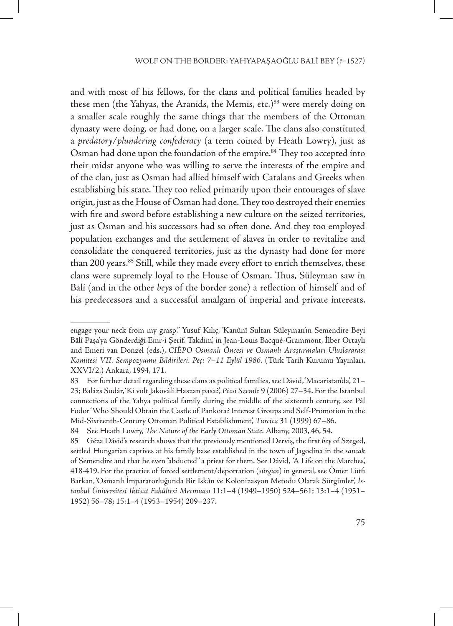and with most of his fellows, for the clans and political families headed by these men (the Yahyas, the Aranids, the Memis, etc.)<sup>83</sup> were merely doing on a smaller scale roughly the same things that the members of the Ottoman dynasty were doing, or had done, on a larger scale. The clans also constituted a *predatory/plundering confederacy* (a term coined by Heath Lowry), just as Osman had done upon the foundation of the empire.<sup>84</sup> They too accepted into their midst anyone who was willing to serve the interests of the empire and of the clan, just as Osman had allied himself with Catalans and Greeks when establishing his state. They too relied primarily upon their entourages of slave origin, just as the House of Osman had done. They too destroyed their enemies with fire and sword before establishing a new culture on the seized territories, just as Osman and his successors had so often done. And they too employed population exchanges and the settlement of slaves in order to revitalize and consolidate the conquered territories, just as the dynasty had done for more than 200 years.<sup>85</sup> Still, while they made every effort to enrich themselves, these clans were supremely loyal to the House of Osman. Thus, Süleyman saw in Bali (and in the other *bey*s of the border zone) a reflection of himself and of his predecessors and a successful amalgam of imperial and private interests.

engage your neck from my grasp." Yusuf Kılıç, 'Kanûnî Sultan Süleyman'ın Semendire Beyi Bâlî Paşa'ya Gönderdiği Emr-i Şerif. Takdim', in Jean-Louis Bacqué-Grammont, İlber Ortaylı and Emeri van Donzel (eds.), *CIÉPO Osmanlı Öncesi ve Osmanlı Araştırmaları Uluslararası Komitesi VII. Sempozyumu Bildirileri. Peç: 7–11 Eylül 1986.* (Türk Tarih Kurumu Yayınları, XXVI/2.) Ankara, 1994, 171.

<sup>83</sup> For further detail regarding these clans as political families, see Dávid, 'Macaristan'da', 21– 23; Balázs Sudár, 'Ki volt Jakováli Haszan pasa?', *Pécsi Szemle* 9 (2006) 27–34. For the Istanbul connections of the Yahya political family during the middle of the sixteenth century, see Pál Fodor 'Who Should Obtain the Castle of Pankota? Interest Groups and Self-Promotion in the Mid-Sixteenth-Century Ottoman Political Establishment', *Turcica* 31 (1999) 67–86.

<sup>84</sup> See Heath Lowry, *The Nature of the Early Ottoman State.* Albany, 2003, 46, 54.

<sup>85</sup> Géza Dávid's research shows that the previously mentioned Derviş, the first *bey* of Szeged, settled Hungarian captives at his family base established in the town of Jagodina in the *sancak* of Semendire and that he even "abducted" a priest for them. See Dávid, 'A Life on the Marches', 418-419. For the practice of forced settlement/deportation (*sürgün*) in general, see Ömer Lütfi Barkan, 'Osmanlı İmparatorluğunda Bir İskân ve Kolonizasyon Metodu Olarak Sürgünler', *İstanbul Üniversitesi İktisat Fakültesi Mecmuası* 11:1–4 (1949–1950) 524–561; 13:1–4 (1951– 1952) 56–78; 15:1–4 (1953–1954) 209–237.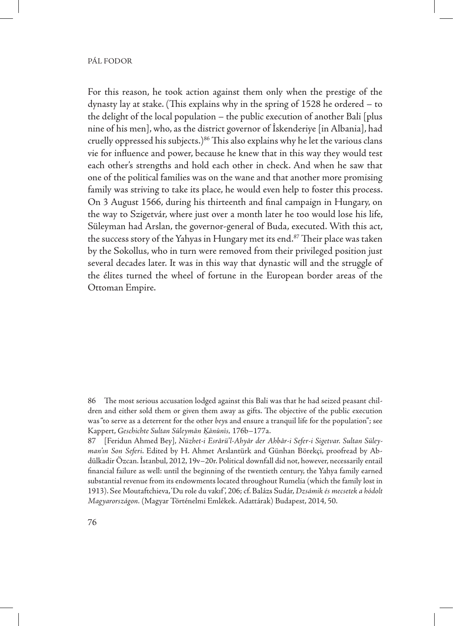For this reason, he took action against them only when the prestige of the dynasty lay at stake. (This explains why in the spring of 1528 he ordered – to the delight of the local population – the public execution of another Bali [plus nine of his men], who, as the district governor of İskenderiye [in Albania], had cruelly oppressed his subjects.) $86$  This also explains why he let the various clans vie for influence and power, because he knew that in this way they would test each other's strengths and hold each other in check. And when he saw that one of the political families was on the wane and that another more promising family was striving to take its place, he would even help to foster this process. On 3 August 1566, during his thirteenth and final campaign in Hungary, on the way to Szigetvár, where just over a month later he too would lose his life, Süleyman had Arslan, the governor-general of Buda, executed. With this act, the success story of the Yahyas in Hungary met its end.<sup>87</sup> Their place was taken by the Sokollus, who in turn were removed from their privileged position just several decades later. It was in this way that dynastic will and the struggle of the élites turned the wheel of fortune in the European border areas of the Ottoman Empire.

<sup>86</sup> The most serious accusation lodged against this Bali was that he had seized peasant children and either sold them or given them away as gifts. The objective of the public execution was "to serve as a deterrent for the other *bey*s and ensure a tranquil life for the population"; see Kappert, *Geschichte Sultan Süleymān K. ānūnīs,* 176b–177a.

<sup>87</sup> [Feridun Ahmed Bey], *Nüzhet-i Esrârü'l-Ahyâr der Ahbâr-i Sefer-i Sigetvar. Sultan Süleyman'ın Son Seferi*. Edited by H. Ahmet Arslantürk and Günhan Börekçi, proofread by Abdülkadir Özcan. İstanbul, 2012, 19v–20r. Political downfall did not, however, necessarily entail financial failure as well: until the beginning of the twentieth century, the Yahya family earned substantial revenue from its endowments located throughout Rumelia (which the family lost in 1913). See Moutaftchieva, 'Du role du vakıf ', 206; cf. Balázs Sudár, *Dzsámik és mecsetek a hódolt Magyarországon.* (Magyar Történelmi Emlékek. Adattárak) Budapest, 2014, 50.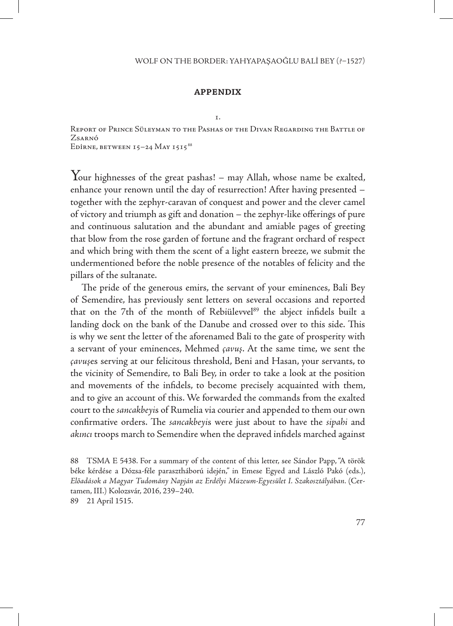#### **appendix**

1.

Report of Prince Süleyman to the Pashas of the Divan Regarding the Battle of Zsarnó EDİRNE, BETWEEN 15-24 MAY 1515<sup>88</sup>

Your highnesses of the great pashas! – may Allah, whose name be exalted, enhance your renown until the day of resurrection! After having presented – together with the zephyr-caravan of conquest and power and the clever camel of victory and triumph as gift and donation – the zephyr-like offerings of pure and continuous salutation and the abundant and amiable pages of greeting that blow from the rose garden of fortune and the fragrant orchard of respect and which bring with them the scent of a light eastern breeze, we submit the undermentioned before the noble presence of the notables of felicity and the pillars of the sultanate.

The pride of the generous emirs, the servant of your eminences, Bali Bey of Semendire, has previously sent letters on several occasions and reported that on the 7th of the month of Rebiülevvel<sup>89</sup> the abject infidels built a landing dock on the bank of the Danube and crossed over to this side. This is why we sent the letter of the aforenamed Bali to the gate of prosperity with a servant of your eminences, Mehmed *çavuş*. At the same time, we sent the *çavuş*es serving at our felicitous threshold, Beni and Hasan, your servants, to the vicinity of Semendire, to Bali Bey, in order to take a look at the position and movements of the infidels, to become precisely acquainted with them, and to give an account of this. We forwarded the commands from the exalted court to the *sancakbeyi*s of Rumelia via courier and appended to them our own confirmative orders. The *sancakbeyi*s were just about to have the *sipahi* and *akıncı* troops march to Semendire when the depraved infidels marched against

89 21 April 1515.

<sup>88</sup> TSMA E 5438. For a summary of the content of this letter, see Sándor Papp, "A török béke kérdése a Dózsa-féle parasztháború idején," in Emese Egyed and László Pakó (eds.), *Előadások a Magyar Tudomány Napján az Erdélyi Múzeum-Egyesület I. Szakosztályában.* (Certamen, III.) Kolozsvár, 2016, 239–240.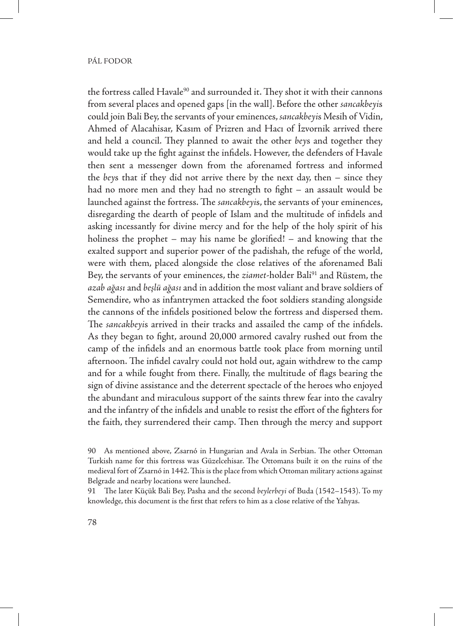the fortress called Havale<sup>90</sup> and surrounded it. They shot it with their cannons from several places and opened gaps [in the wall]. Before the other *sancakbeyi*s could join Bali Bey, the servants of your eminences, *sancakbeyi*s Mesih of Vidin, Ahmed of Alacahisar, Kasım of Prizren and Hacı of İzvornik arrived there and held a council. They planned to await the other *bey*s and together they would take up the fight against the infidels. However, the defenders of Havale then sent a messenger down from the aforenamed fortress and informed the *bey*s that if they did not arrive there by the next day, then – since they had no more men and they had no strength to fight – an assault would be launched against the fortress. The *sancakbeyi*s, the servants of your eminences, disregarding the dearth of people of Islam and the multitude of infidels and asking incessantly for divine mercy and for the help of the holy spirit of his holiness the prophet – may his name be glorified! – and knowing that the exalted support and superior power of the padishah, the refuge of the world, were with them, placed alongside the close relatives of the aforenamed Bali Bey, the servants of your eminences, the *ziamet*-holder Bali91 and Rüstem, the *azab ağası* and *beşlü ağası* and in addition the most valiant and brave soldiers of Semendire, who as infantrymen attacked the foot soldiers standing alongside the cannons of the infidels positioned below the fortress and dispersed them. The *sancakbeyi*s arrived in their tracks and assailed the camp of the infidels. As they began to fight, around 20,000 armored cavalry rushed out from the camp of the infidels and an enormous battle took place from morning until afternoon. The infidel cavalry could not hold out, again withdrew to the camp and for a while fought from there. Finally, the multitude of flags bearing the sign of divine assistance and the deterrent spectacle of the heroes who enjoyed the abundant and miraculous support of the saints threw fear into the cavalry and the infantry of the infidels and unable to resist the effort of the fighters for the faith, they surrendered their camp. Then through the mercy and support

91 The later Küçük Bali Bey, Pasha and the second *beylerbeyi* of Buda (1542–1543). To my knowledge, this document is the first that refers to him as a close relative of the Yahyas.

<sup>90</sup> As mentioned above, Zsarnó in Hungarian and Avala in Serbian. The other Ottoman Turkish name for this fortress was Güzelcehisar. The Ottomans built it on the ruins of the medieval fort of Zsarnó in 1442. This is the place from which Ottoman military actions against Belgrade and nearby locations were launched.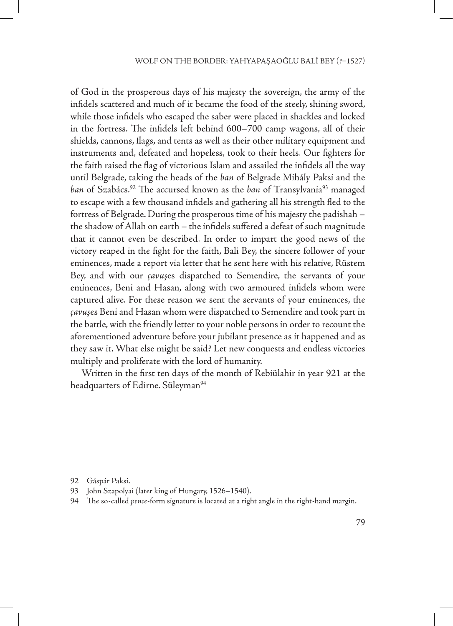of God in the prosperous days of his majesty the sovereign, the army of the infidels scattered and much of it became the food of the steely, shining sword, while those infidels who escaped the saber were placed in shackles and locked in the fortress. The infidels left behind 600–700 camp wagons, all of their shields, cannons, flags, and tents as well as their other military equipment and instruments and, defeated and hopeless, took to their heels. Our fighters for the faith raised the flag of victorious Islam and assailed the infidels all the way until Belgrade, taking the heads of the *ban* of Belgrade Mihály Paksi and the *ban* of Szabács.92 The accursed known as the *ban* of Transylvania93 managed to escape with a few thousand infidels and gathering all his strength fled to the fortress of Belgrade. During the prosperous time of his majesty the padishah – the shadow of Allah on earth – the infidels suffered a defeat of such magnitude that it cannot even be described. In order to impart the good news of the victory reaped in the fight for the faith, Bali Bey, the sincere follower of your eminences, made a report via letter that he sent here with his relative, Rüstem Bey, and with our *çavuş*es dispatched to Semendire, the servants of your eminences, Beni and Hasan, along with two armoured infidels whom were captured alive. For these reason we sent the servants of your eminences, the *çavuş*es Beni and Hasan whom were dispatched to Semendire and took part in the battle, with the friendly letter to your noble persons in order to recount the aforementioned adventure before your jubilant presence as it happened and as they saw it. What else might be said? Let new conquests and endless victories multiply and proliferate with the lord of humanity.

Written in the first ten days of the month of Rebiülahir in year 921 at the headquarters of Edirne. Süleyman<sup>94</sup>

- 92 Gáspár Paksi.
- 93 John Szapolyai (later king of Hungary, 1526–1540).
- 94 The so-called *pence*-form signature is located at a right angle in the right-hand margin.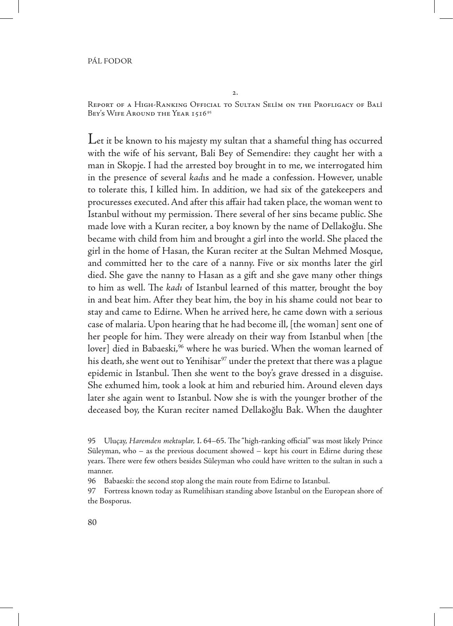Report of a High-Ranking Official to Sultan Selİm on the Profligacy of Balİ Bey's WIFE AROUND THE YEAR 151695

Let it be known to his majesty my sultan that a shameful thing has occurred with the wife of his servant, Bali Bey of Semendire: they caught her with a man in Skopje. I had the arrested boy brought in to me, we interrogated him in the presence of several *kad*ıs and he made a confession. However, unable to tolerate this, I killed him. In addition, we had six of the gatekeepers and procuresses executed. And after this affair had taken place, the woman went to Istanbul without my permission. There several of her sins became public. She made love with a Kuran reciter, a boy known by the name of Dellakoğlu. She became with child from him and brought a girl into the world. She placed the girl in the home of Hasan, the Kuran reciter at the Sultan Mehmed Mosque, and committed her to the care of a nanny. Five or six months later the girl died. She gave the nanny to Hasan as a gift and she gave many other things to him as well. The *kadı* of Istanbul learned of this matter, brought the boy in and beat him. After they beat him, the boy in his shame could not bear to stay and came to Edirne. When he arrived here, he came down with a serious case of malaria. Upon hearing that he had become ill, [the woman] sent one of her people for him. They were already on their way from Istanbul when [the lover] died in Babaeski,<sup>96</sup> where he was buried. When the woman learned of his death, she went out to Yenihisar<sup>97</sup> under the pretext that there was a plague epidemic in Istanbul. Then she went to the boy's grave dressed in a disguise. She exhumed him, took a look at him and reburied him. Around eleven days later she again went to Istanbul. Now she is with the younger brother of the deceased boy, the Kuran reciter named Dellakoğlu Bak. When the daughter

96 Babaeski: the second stop along the main route from Edirne to Istanbul.

97 Fortress known today as Rumelihisarı standing above Istanbul on the European shore of the Bosporus.

<sup>95</sup> Uluçay, *Haremden mektuplar,* I. 64–65. The "high-ranking official" was most likely Prince Süleyman, who – as the previous document showed – kept his court in Edirne during these years. There were few others besides Süleyman who could have written to the sultan in such a manner.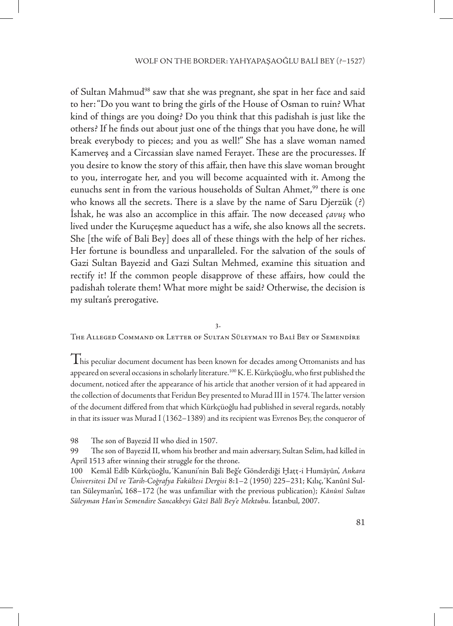of Sultan Mahmud<sup>98</sup> saw that she was pregnant, she spat in her face and said to her: "Do you want to bring the girls of the House of Osman to ruin? What kind of things are you doing? Do you think that this padishah is just like the others? If he finds out about just one of the things that you have done, he will break everybody to pieces; and you as well!" She has a slave woman named Kamerveş and a Circassian slave named Ferayet. These are the procuresses. If you desire to know the story of this affair, then have this slave woman brought to you, interrogate her, and you will become acquainted with it. Among the eunuchs sent in from the various households of Sultan Ahmet,<sup>99</sup> there is one who knows all the secrets. There is a slave by the name of Saru Djerzük (?) İshak, he was also an accomplice in this affair. The now deceased *çavuş* who lived under the Kuruçeşme aqueduct has a wife, she also knows all the secrets. She [the wife of Bali Bey] does all of these things with the help of her riches. Her fortune is boundless and unparalleled. For the salvation of the souls of Gazi Sultan Bayezid and Gazi Sultan Mehmed, examine this situation and rectify it! If the common people disapprove of these affairs, how could the padishah tolerate them! What more might be said? Otherwise, the decision is my sultan's prerogative.

3.

The Alleged Command or Letter of Sultan Süleyman to Balİ Bey of Semendİre

 $\Gamma$ his peculiar document document has been known for decades among Ottomanists and has appeared on several occasions in scholarly literature.<sup>100</sup> K. E. Kürkçüoğlu, who first published the document, noticed after the appearance of his article that another version of it had appeared in the collection of documents that Feridun Bey presented to Murad III in 1574. The latter version of the document differed from that which Kürkçüoğlu had published in several regards, notably in that its issuer was Murad I (1362–1389) and its recipient was Evrenos Bey, the conqueror of

98 The son of Bayezid II who died in 1507.

99 The son of Bayezid II, whom his brother and main adversary, Sultan Selim, had killed in April 1513 after winning their struggle for the throne.

100 Kemâl Edîb Kürkçüoğlu, 'Kanuni'nin Bali Beğ'e Gönderdiği Hatt-i Humāyūn', *Ankara*<br>Ülsimmitasi Dilan Tarih Cažrafas Felsiltasi Darsisi 9:1, 2 (1950) 225, 221. Kılıs 'Kanûnî Sal *Üniversitesi Dil ve Tarih-Coğrafya Fakültesi Dergisi* 8:1–2 (1950) 225–231; Kılıç, 'Kanûnî Sultan Süleyman'ın', 168–172 (he was unfamiliar with the previous publication); *Kânûnî Sultan Süleyman Han'ın Semendire Sancakbeyi Gâzî Bâlî Bey'e Mektubu.* İstanbul, 2007.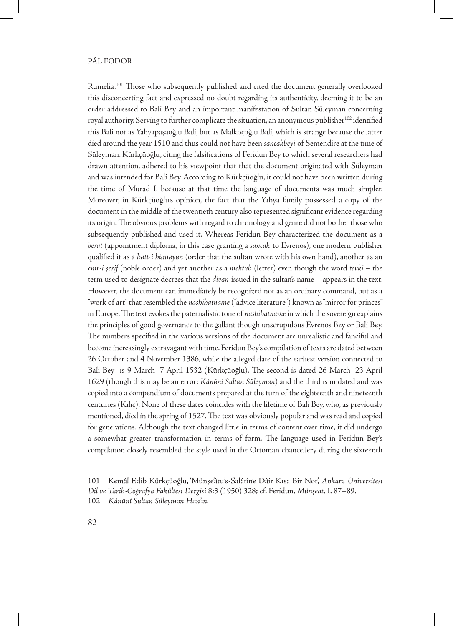Rumelia.<sup>101</sup> Those who subsequently published and cited the document generally overlooked this disconcerting fact and expressed no doubt regarding its authenticity, deeming it to be an order addressed to Bali Bey and an important manifestation of Sultan Süleyman concerning royal authority. Serving to further complicate the situation, an anonymous publisher<sup>102</sup> identified this Bali not as Yahyapaşaoğlu Bali, but as Malkoçoğlu Bali, which is strange because the latter died around the year 1510 and thus could not have been *sancakbeyi* of Semendire at the time of Süleyman. Kürkçüoğlu, citing the falsifications of Feridun Bey to which several researchers had drawn attention, adhered to his viewpoint that that the document originated with Süleyman and was intended for Bali Bey. According to Kürkçüoğlu, it could not have been written during the time of Murad I, because at that time the language of documents was much simpler. Moreover, in Kürkçüoğlu's opinion, the fact that the Yahya family possessed a copy of the document in the middle of the twentieth century also represented significant evidence regarding its origin. The obvious problems with regard to chronology and genre did not bother those who subsequently published and used it. Whereas Feridun Bey characterized the document as a *berat* (appointment diploma, in this case granting a *sancak* to Evrenos), one modern publisher qualified it as a *hatt-i hümayun* (order that the sultan wrote with his own hand), another as an *emr-i şerif* (noble order) and yet another as a *mektub* (letter) even though the word *tevki* – the term used to designate decrees that the *divan* issued in the sultan's name – appears in the text. However, the document can immediately be recognized not as an ordinary command, but as a "work of art" that resembled the *nashihatname* ("advice literature") known as "mirror for princes" in Europe. The text evokes the paternalistic tone of *nashihatname* in which the sovereign explains the principles of good governance to the gallant though unscrupulous Evrenos Bey or Bali Bey. The numbers specified in the various versions of the document are unrealistic and fanciful and become increasingly extravagant with time. Feridun Bey's compilation of texts are dated between 26 October and 4 November 1386, while the alleged date of the earliest version connected to Bali Bey is 9 March–7 April 1532 (Kürkçüoğlu). The second is dated 26 March–23 April 1629 (though this may be an error; *Kânûnî Sultan Süleyman*) and the third is undated and was copied into a compendium of documents prepared at the turn of the eighteenth and nineteenth centuries (Kılıç). None of these dates coincides with the lifetime of Bali Bey, who, as previously mentioned, died in the spring of 1527. The text was obviously popular and was read and copied for generations. Although the text changed little in terms of content over time, it did undergo a somewhat greater transformation in terms of form. The language used in Feridun Bey's compilation closely resembled the style used in the Ottoman chancellery during the sixteenth

<sup>101</sup> Kemâl Edib Kürkçüoğlu, 'Münşe'âtu's-Salâtîn'e Dâir Kısa Bir Not', *Ankara Üniversitesi Dil ve Tarih-Coğrafya Fakültesi Dergisi* 8:3 (1950) 328; cf. Feridun, *Münşeat,* I. 87–89. 102 *Kânûnî Sultan Süleyman Han'ın.*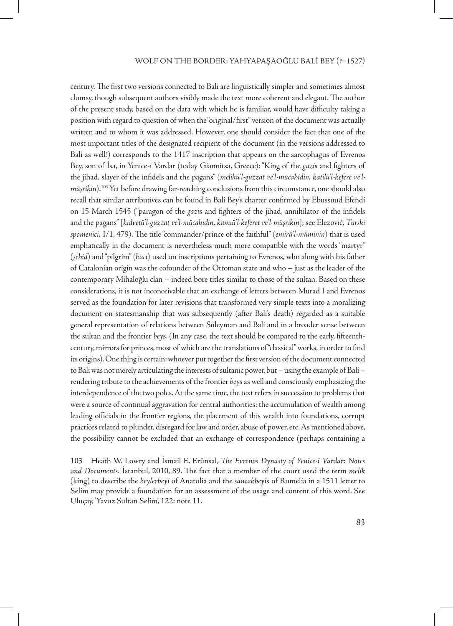#### WOLF ON THE BORDER: YAHYAPASAOĞLU BALİ BEY (?–1527)

century. The first two versions connected to Bali are linguistically simpler and sometimes almost clumsy, though subsequent authors visibly made the text more coherent and elegant. The author of the present study, based on the data with which he is familiar, would have difficulty taking a position with regard to question of when the "original/first" version of the document was actually written and to whom it was addressed. However, one should consider the fact that one of the most important titles of the designated recipient of the document (in the versions addressed to Bali as well!) corresponds to the 1417 inscription that appears on the sarcophagus of Evrenos Bey, son of İsa, in Yenice-i Vardar (today Giannitsa, Greece): "King of the *gazi*s and fighters of the jihad, slayer of the infidels and the pagans" (*melikü'l-guzzat ve'l-mücahidin, katilü'l-kefere ve'lmüşrikin*)*.* 103 Yet before drawing far-reaching conclusions from this circumstance, one should also recall that similar attributives can be found in Bali Bey's charter confirmed by Ebussuud Efendi on 15 March 1545 ("paragon of the *gazi*s and fighters of the jihad, annihilator of the infidels and the pagans" [*kıdvetü'l-guzzat ve'l-mücahidin, kamıü'l-keferet ve'l-müşrikin*]; see Elezović, *Turski spomenici,* I/1, 479). The title "commander/prince of the faithful" (*emirü'l-müminin*) that is used emphatically in the document is nevertheless much more compatible with the words "martyr" (*şehid*) and "pilgrim" (*hacı*) used on inscriptions pertaining to Evrenos, who along with his father of Catalonian origin was the cofounder of the Ottoman state and who – just as the leader of the contemporary Mihaloğlu clan – indeed bore titles similar to those of the sultan. Based on these considerations, it is not inconceivable that an exchange of letters between Murad I and Evrenos served as the foundation for later revisions that transformed very simple texts into a moralizing document on statesmanship that was subsequently (after Bali's death) regarded as a suitable general representation of relations between Süleyman and Bali and in a broader sense between the sultan and the frontier *bey*s. (In any case, the text should be compared to the early, fifteenthcentury, mirrors for princes, most of which are the translations of "classical" works, in order to find its origins). One thing is certain: whoever put together the first version of the document connected to Bali was not merely articulating the interests of sultanic power, but – using the example of Bali – rendering tribute to the achievements of the frontier *bey*s as well and consciously emphasizing the interdependence of the two poles. At the same time, the text refers in succession to problems that were a source of continual aggravation for central authorities: the accumulation of wealth among leading officials in the frontier regions, the placement of this wealth into foundations, corrupt practices related to plunder, disregard for law and order, abuse of power, etc. As mentioned above, the possibility cannot be excluded that an exchange of correspondence (perhaps containing a

103 Heath W. Lowry and İsmail E. Erünsal, *The Evrenos Dynasty of Yenice-i Vardar: Notes and Documents.* İstanbul, 2010, 89. The fact that a member of the court used the term *melik*  (king) to describe the *beylerbeyi* of Anatolia and the *sancakbeyi*s of Rumelia in a 1511 letter to Selim may provide a foundation for an assessment of the usage and content of this word. See Uluçay, 'Yavuz Sultan Selim', 122: note 11.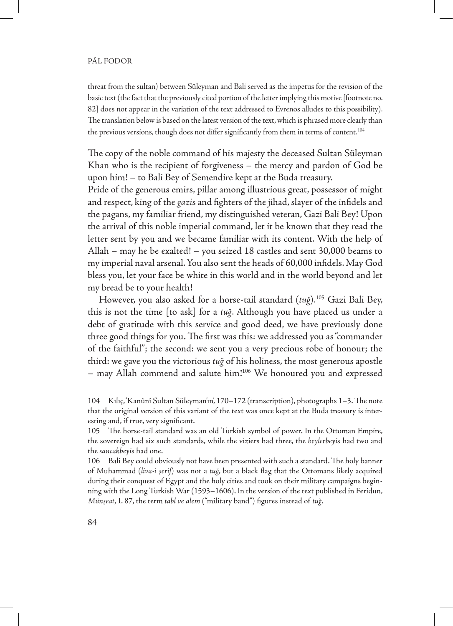threat from the sultan) between Süleyman and Bali served as the impetus for the revision of the basic text (the fact that the previously cited portion of the letter implying this motive [footnote no. 82] does not appear in the variation of the text addressed to Evrenos alludes to this possibility). The translation below is based on the latest version of the text, which is phrased more clearly than the previous versions, though does not differ significantly from them in terms of content.<sup>104</sup>

The copy of the noble command of his majesty the deceased Sultan Süleyman Khan who is the recipient of forgiveness – the mercy and pardon of God be upon him! – to Bali Bey of Semendire kept at the Buda treasury.

Pride of the generous emirs, pillar among illustrious great, possessor of might and respect, king of the *gazi*s and fighters of the jihad, slayer of the infidels and the pagans, my familiar friend, my distinguished veteran, Gazi Bali Bey! Upon the arrival of this noble imperial command, let it be known that they read the letter sent by you and we became familiar with its content. With the help of Allah – may he be exalted! – you seized 18 castles and sent 30,000 beams to my imperial naval arsenal. You also sent the heads of 60,000 infidels. May God bless you, let your face be white in this world and in the world beyond and let my bread be to your health!

However, you also asked for a horse-tail standard (*tuğ*).105 Gazi Bali Bey, this is not the time [to ask] for a *tuğ*. Although you have placed us under a debt of gratitude with this service and good deed, we have previously done three good things for you. The first was this: we addressed you as "commander of the faithful"; the second: we sent you a very precious robe of honour; the third: we gave you the victorious *tuğ* of his holiness, the most generous apostle – may Allah commend and salute him!106 We honoured you and expressed

104 Kılıç, 'Kanûnî Sultan Süleyman'ın', 170–172 (transcription), photographs 1–3. The note that the original version of this variant of the text was once kept at the Buda treasury is interesting and, if true, very significant.

105 The horse-tail standard was an old Turkish symbol of power. In the Ottoman Empire, the sovereign had six such standards, while the viziers had three, the *beylerbeyi*s had two and the *sancakbeyi*s had one.

106 Bali Bey could obviously not have been presented with such a standard. The holy banner of Muhammad (*liva-i şerif*) was not a *tuğ*, but a black flag that the Ottomans likely acquired during their conquest of Egypt and the holy cities and took on their military campaigns beginning with the Long Turkish War (1593–1606). In the version of the text published in Feridun, *Münşeat*, I. 87, the term *tabl ve alem* ("military band") figures instead of *tuğ*.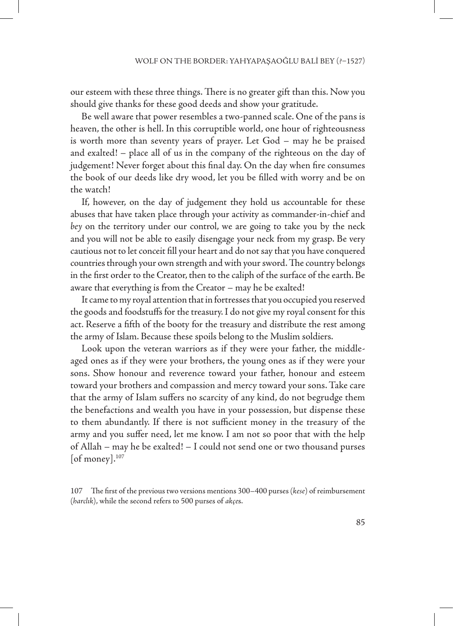our esteem with these three things. There is no greater gift than this. Now you should give thanks for these good deeds and show your gratitude.

Be well aware that power resembles a two-panned scale. One of the pans is heaven, the other is hell. In this corruptible world, one hour of righteousness is worth more than seventy years of prayer. Let God – may he be praised and exalted! – place all of us in the company of the righteous on the day of judgement! Never forget about this final day. On the day when fire consumes the book of our deeds like dry wood, let you be filled with worry and be on the watch!

If, however, on the day of judgement they hold us accountable for these abuses that have taken place through your activity as commander-in-chief and *bey* on the territory under our control, we are going to take you by the neck and you will not be able to easily disengage your neck from my grasp. Be very cautious not to let conceit fill your heart and do not say that you have conquered countries through your own strength and with your sword. The country belongs in the first order to the Creator, then to the caliph of the surface of the earth. Be aware that everything is from the Creator – may he be exalted!

It came to my royal attention that in fortresses that you occupied you reserved the goods and foodstuffs for the treasury. I do not give my royal consent for this act. Reserve a fifth of the booty for the treasury and distribute the rest among the army of Islam. Because these spoils belong to the Muslim soldiers.

Look upon the veteran warriors as if they were your father, the middleaged ones as if they were your brothers, the young ones as if they were your sons. Show honour and reverence toward your father, honour and esteem toward your brothers and compassion and mercy toward your sons. Take care that the army of Islam suffers no scarcity of any kind, do not begrudge them the benefactions and wealth you have in your possession, but dispense these to them abundantly. If there is not sufficient money in the treasury of the army and you suffer need, let me know. I am not so poor that with the help of Allah – may he be exalted! – I could not send one or two thousand purses  $[$  of money $]$ .<sup>107</sup>

107 The first of the previous two versions mentions 300–400 purses (*kese*) of reimbursement (*harclık*), while the second refers to 500 purses of *akçe*s.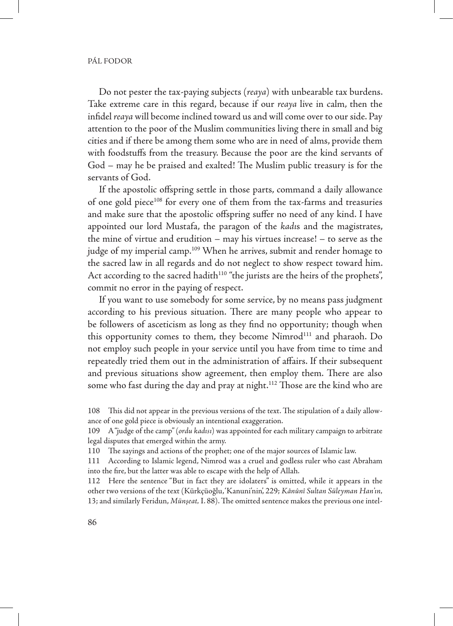Do not pester the tax-paying subjects (*reaya*) with unbearable tax burdens. Take extreme care in this regard, because if our *reaya* live in calm, then the infidel *reaya* will become inclined toward us and will come over to our side. Pay attention to the poor of the Muslim communities living there in small and big cities and if there be among them some who are in need of alms, provide them with foodstuffs from the treasury. Because the poor are the kind servants of God – may he be praised and exalted! The Muslim public treasury is for the servants of God.

If the apostolic offspring settle in those parts, command a daily allowance of one gold piece<sup>108</sup> for every one of them from the tax-farms and treasuries and make sure that the apostolic offspring suffer no need of any kind. I have appointed our lord Mustafa, the paragon of the *kadı*s and the magistrates, the mine of virtue and erudition – may his virtues increase! – to serve as the judge of my imperial camp.<sup>109</sup> When he arrives, submit and render homage to the sacred law in all regards and do not neglect to show respect toward him. Act according to the sacred hadith<sup>110</sup> "the jurists are the heirs of the prophets", commit no error in the paying of respect.

If you want to use somebody for some service, by no means pass judgment according to his previous situation. There are many people who appear to be followers of asceticism as long as they find no opportunity; though when this opportunity comes to them, they become Nimrod<sup>111</sup> and pharaoh. Do not employ such people in your service until you have from time to time and repeatedly tried them out in the administration of affairs. If their subsequent and previous situations show agreement, then employ them. There are also some who fast during the day and pray at night.<sup>112</sup> Those are the kind who are

<sup>108</sup> This did not appear in the previous versions of the text. The stipulation of a daily allowance of one gold piece is obviously an intentional exaggeration.

<sup>109</sup> A "judge of the camp" (*ordu kadısı*) was appointed for each military campaign to arbitrate legal disputes that emerged within the army.

<sup>110</sup> The sayings and actions of the prophet; one of the major sources of Islamic law.

<sup>111</sup> According to Islamic legend, Nimrod was a cruel and godless ruler who cast Abraham into the fire, but the latter was able to escape with the help of Allah.

<sup>112</sup> Here the sentence "But in fact they are idolaters" is omitted, while it appears in the other two versions of the text (Kürkçüoğlu, 'Kanuni'nin', 229; *Kânûnî Sultan Süleyman Han'ın,* 13; and similarly Feridun, *Münşeat,* I. 88). The omitted sentence makes the previous one intel-